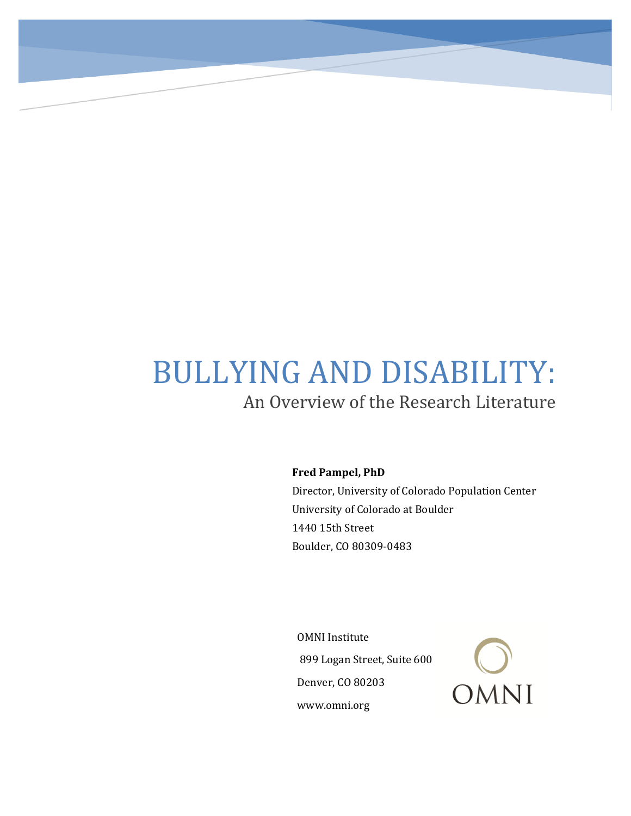# BULLYING AND DISABILITY: An Overview of the Research Literature

**Fred Pampel, PhD**

Director, University of Colorado Population Center University of Colorado at Boulder 1440 15th Street Boulder, CO 80309-0483

OMNI Institute 899 Logan Street, Suite 600 Denver, CO 80203 www.omni.org

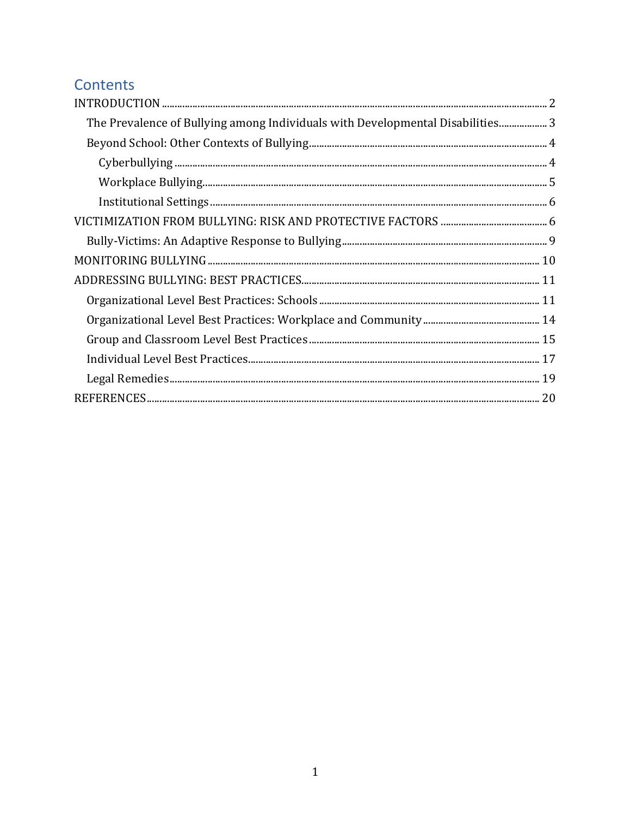# Contents

| $\bf INTRODUCTION 22$                                                          |  |
|--------------------------------------------------------------------------------|--|
| The Prevalence of Bullying among Individuals with Developmental Disabilities 3 |  |
|                                                                                |  |
|                                                                                |  |
|                                                                                |  |
|                                                                                |  |
|                                                                                |  |
|                                                                                |  |
|                                                                                |  |
|                                                                                |  |
|                                                                                |  |
|                                                                                |  |
|                                                                                |  |
|                                                                                |  |
|                                                                                |  |
|                                                                                |  |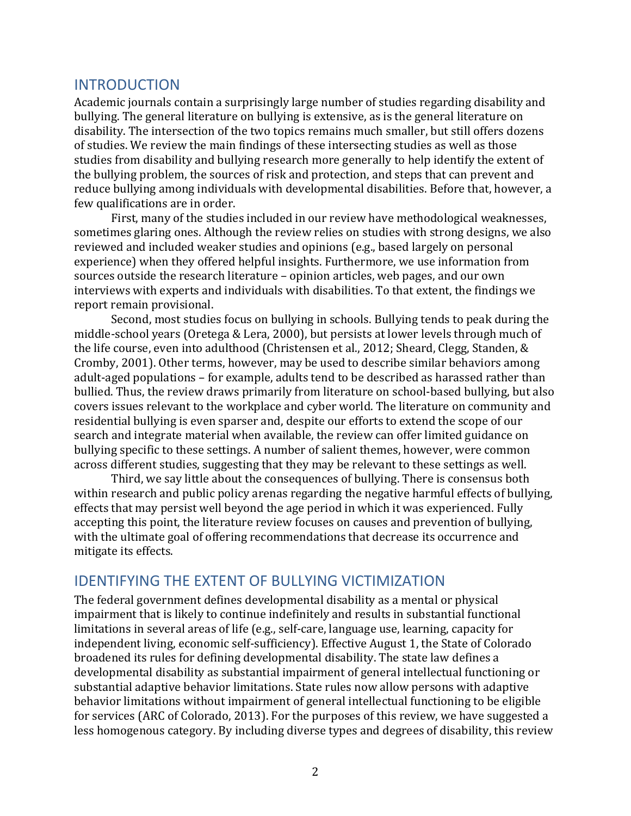# <span id="page-2-0"></span>INTRODUCTION

Academic journals contain a surprisingly large number of studies regarding disability and bullying. The general literature on bullying is extensive, as is the general literature on disability. The intersection of the two topics remains much smaller, but still offers dozens of studies. We review the main findings of these intersecting studies as well as those studies from disability and bullying research more generally to help identify the extent of the bullying problem, the sources of risk and protection, and steps that can prevent and reduce bullying among individuals with developmental disabilities. Before that, however, a few qualifications are in order.

First, many of the studies included in our review have methodological weaknesses, sometimes glaring ones. Although the review relies on studies with strong designs, we also reviewed and included weaker studies and opinions (e.g., based largely on personal experience) when they offered helpful insights. Furthermore, we use information from sources outside the research literature – opinion articles, web pages, and our own interviews with experts and individuals with disabilities. To that extent, the findings we report remain provisional.

Second, most studies focus on bullying in schools. Bullying tends to peak during the middle-school years (Oretega & Lera, 2000), but persists at lower levels through much of the life course, even into adulthood (Christensen et al., 2012; Sheard, Clegg, Standen, & Cromby, 2001). Other terms, however, may be used to describe similar behaviors among adult-aged populations – for example, adults tend to be described as harassed rather than bullied. Thus, the review draws primarily from literature on school-based bullying, but also covers issues relevant to the workplace and cyber world. The literature on community and residential bullying is even sparser and, despite our efforts to extend the scope of our search and integrate material when available, the review can offer limited guidance on bullying specific to these settings. A number of salient themes, however, were common across different studies, suggesting that they may be relevant to these settings as well.

Third, we say little about the consequences of bullying. There is consensus both within research and public policy arenas regarding the negative harmful effects of bullying, effects that may persist well beyond the age period in which it was experienced. Fully accepting this point, the literature review focuses on causes and prevention of bullying, with the ultimate goal of offering recommendations that decrease its occurrence and mitigate its effects.

# IDENTIFYING THE EXTENT OF BULLYING VICTIMIZATION

The federal government defines developmental disability as a mental or physical impairment that is likely to continue indefinitely and results in substantial functional limitations in several areas of life (e.g., self-care, language use, learning, capacity for independent living, economic self-sufficiency). Effective August 1, the State of Colorado broadened its rules for defining developmental disability. The state law defines a developmental disability as substantial impairment of general intellectual functioning or substantial adaptive behavior limitations. State rules now allow persons with adaptive behavior limitations without impairment of general intellectual functioning to be eligible for services (ARC of Colorado, 2013). For the purposes of this review, we have suggested a less homogenous category. By including diverse types and degrees of disability, this review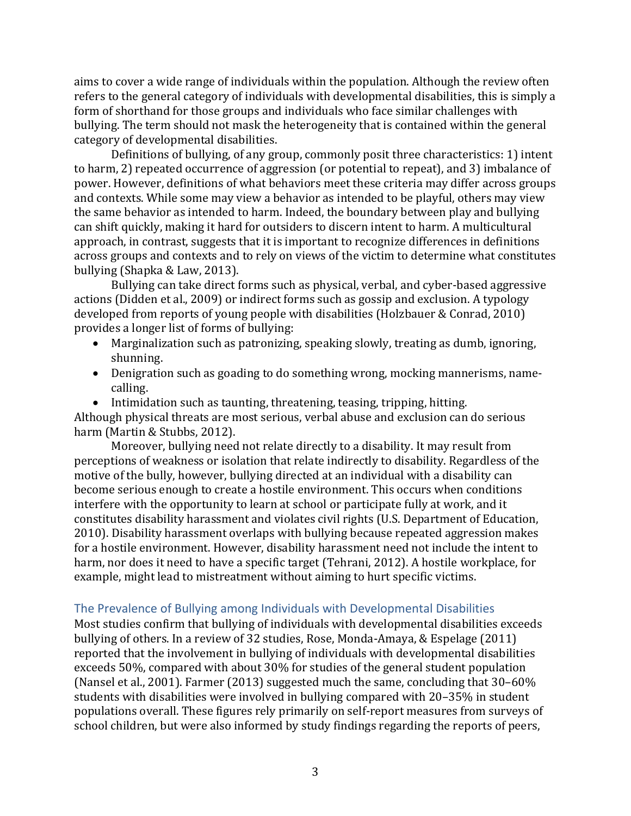aims to cover a wide range of individuals within the population. Although the review often refers to the general category of individuals with developmental disabilities, this is simply a form of shorthand for those groups and individuals who face similar challenges with bullying. The term should not mask the heterogeneity that is contained within the general category of developmental disabilities.

Definitions of bullying, of any group, commonly posit three characteristics: 1) intent to harm, 2) repeated occurrence of aggression (or potential to repeat), and 3) imbalance of power. However, definitions of what behaviors meet these criteria may differ across groups and contexts. While some may view a behavior as intended to be playful, others may view the same behavior as intended to harm. Indeed, the boundary between play and bullying can shift quickly, making it hard for outsiders to discern intent to harm. A multicultural approach, in contrast, suggests that it is important to recognize differences in definitions across groups and contexts and to rely on views of the victim to determine what constitutes bullying (Shapka & Law, 2013).

Bullying can take direct forms such as physical, verbal, and cyber-based aggressive actions (Didden et al., 2009) or indirect forms such as gossip and exclusion. A typology developed from reports of young people with disabilities (Holzbauer & Conrad, 2010) provides a longer list of forms of bullying:

- Marginalization such as patronizing, speaking slowly, treating as dumb, ignoring, shunning.
- Denigration such as goading to do something wrong, mocking mannerisms, namecalling.

• Intimidation such as taunting, threatening, teasing, tripping, hitting. Although physical threats are most serious, verbal abuse and exclusion can do serious harm (Martin & Stubbs, 2012).

Moreover, bullying need not relate directly to a disability. It may result from perceptions of weakness or isolation that relate indirectly to disability. Regardless of the motive of the bully, however, bullying directed at an individual with a disability can become serious enough to create a hostile environment. This occurs when conditions interfere with the opportunity to learn at school or participate fully at work, and it constitutes disability harassment and violates civil rights (U.S. Department of Education, 2010). Disability harassment overlaps with bullying because repeated aggression makes for a hostile environment. However, disability harassment need not include the intent to harm, nor does it need to have a specific target (Tehrani, 2012). A hostile workplace, for example, might lead to mistreatment without aiming to hurt specific victims.

# <span id="page-3-0"></span>The Prevalence of Bullying among Individuals with Developmental Disabilities

Most studies confirm that bullying of individuals with developmental disabilities exceeds bullying of others. In a review of 32 studies, Rose, Monda-Amaya, & Espelage (2011) reported that the involvement in bullying of individuals with developmental disabilities exceeds 50%, compared with about 30% for studies of the general student population (Nansel et al., 2001). Farmer (2013) suggested much the same, concluding that 30–60% students with disabilities were involved in bullying compared with 20–35% in student populations overall. These figures rely primarily on self-report measures from surveys of school children, but were also informed by study findings regarding the reports of peers,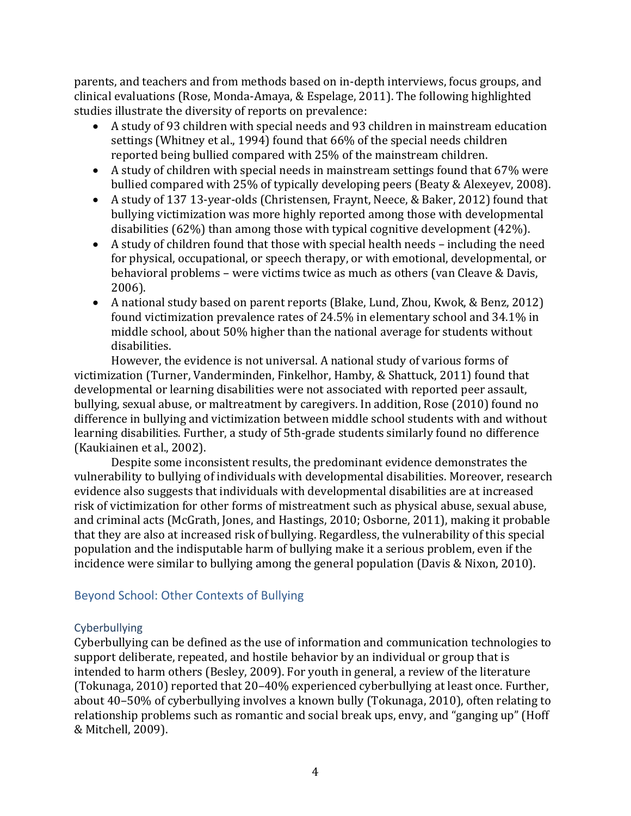parents, and teachers and from methods based on in-depth interviews, focus groups, and clinical evaluations (Rose, Monda-Amaya, & Espelage, 2011). The following highlighted studies illustrate the diversity of reports on prevalence:

- A study of 93 children with special needs and 93 children in mainstream education settings (Whitney et al., 1994) found that 66% of the special needs children reported being bullied compared with 25% of the mainstream children.
- A study of children with special needs in mainstream settings found that 67% were bullied compared with 25% of typically developing peers (Beaty & Alexeyev, 2008).
- A study of 137 13-year-olds (Christensen, Fraynt, Neece, & Baker, 2012) found that bullying victimization was more highly reported among those with developmental disabilities (62%) than among those with typical cognitive development (42%).
- A study of children found that those with special health needs including the need for physical, occupational, or speech therapy, or with emotional, developmental, or behavioral problems – were victims twice as much as others (van Cleave & Davis, 2006).
- A national study based on parent reports (Blake, Lund, Zhou, Kwok, & Benz, 2012) found victimization prevalence rates of 24.5% in elementary school and 34.1% in middle school, about 50% higher than the national average for students without disabilities.

However, the evidence is not universal. A national study of various forms of victimization (Turner, Vanderminden, Finkelhor, Hamby, & Shattuck, 2011) found that developmental or learning disabilities were not associated with reported peer assault, bullying, sexual abuse, or maltreatment by caregivers. In addition, Rose (2010) found no difference in bullying and victimization between middle school students with and without learning disabilities. Further, a study of 5th-grade students similarly found no difference (Kaukiainen et al., 2002).

Despite some inconsistent results, the predominant evidence demonstrates the vulnerability to bullying of individuals with developmental disabilities. Moreover, research evidence also suggests that individuals with developmental disabilities are at increased risk of victimization for other forms of mistreatment such as physical abuse, sexual abuse, and criminal acts (McGrath, Jones, and Hastings, 2010; Osborne, 2011), making it probable that they are also at increased risk of bullying. Regardless, the vulnerability of this special population and the indisputable harm of bullying make it a serious problem, even if the incidence were similar to bullying among the general population (Davis & Nixon, 2010).

# <span id="page-4-0"></span>Beyond School: Other Contexts of Bullying

# <span id="page-4-1"></span>Cyberbullying

Cyberbullying can be defined as the use of information and communication technologies to support deliberate, repeated, and hostile behavior by an individual or group that is intended to harm others (Besley, 2009). For youth in general, a review of the literature (Tokunaga, 2010) reported that 20–40% experienced cyberbullying at least once. Further, about 40–50% of cyberbullying involves a known bully (Tokunaga, 2010), often relating to relationship problems such as romantic and social break ups, envy, and "ganging up" (Hoff & Mitchell, 2009).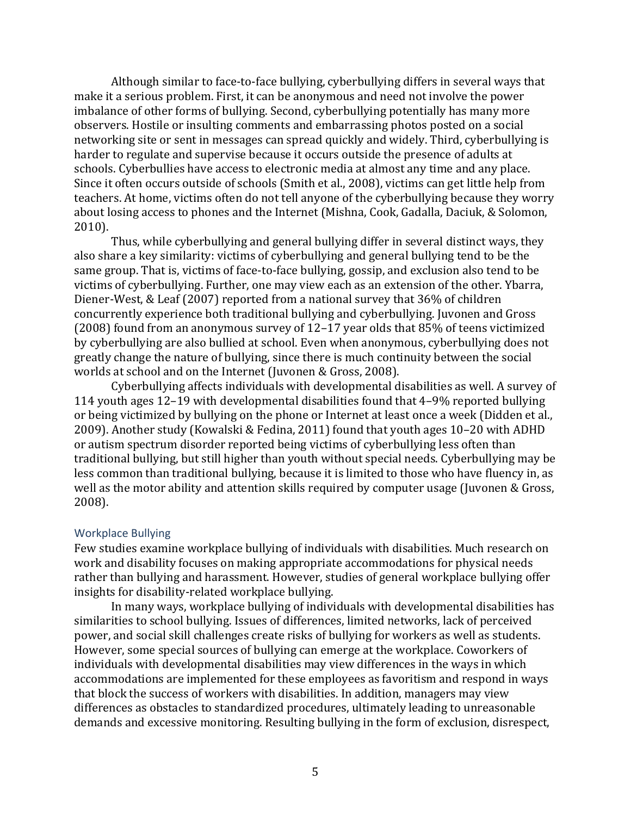Although similar to face-to-face bullying, cyberbullying differs in several ways that make it a serious problem. First, it can be anonymous and need not involve the power imbalance of other forms of bullying. Second, cyberbullying potentially has many more observers. Hostile or insulting comments and embarrassing photos posted on a social networking site or sent in messages can spread quickly and widely. Third, cyberbullying is harder to regulate and supervise because it occurs outside the presence of adults at schools. Cyberbullies have access to electronic media at almost any time and any place. Since it often occurs outside of schools (Smith et al., 2008), victims can get little help from teachers. At home, victims often do not tell anyone of the cyberbullying because they worry about losing access to phones and the Internet (Mishna, Cook, Gadalla, Daciuk, & Solomon, 2010).

Thus, while cyberbullying and general bullying differ in several distinct ways, they also share a key similarity: victims of cyberbullying and general bullying tend to be the same group. That is, victims of face-to-face bullying, gossip, and exclusion also tend to be victims of cyberbullying. Further, one may view each as an extension of the other. Ybarra, Diener-West, & Leaf (2007) reported from a national survey that 36% of children concurrently experience both traditional bullying and cyberbullying. Juvonen and Gross (2008) found from an anonymous survey of 12–17 year olds that 85% of teens victimized by cyberbullying are also bullied at school. Even when anonymous, cyberbullying does not greatly change the nature of bullying, since there is much continuity between the social worlds at school and on the Internet (Juvonen & Gross, 2008).

Cyberbullying affects individuals with developmental disabilities as well. A survey of 114 youth ages 12–19 with developmental disabilities found that 4–9% reported bullying or being victimized by bullying on the phone or Internet at least once a week (Didden et al., 2009). Another study (Kowalski & Fedina, 2011) found that youth ages 10–20 with ADHD or autism spectrum disorder reported being victims of cyberbullying less often than traditional bullying, but still higher than youth without special needs. Cyberbullying may be less common than traditional bullying, because it is limited to those who have fluency in, as well as the motor ability and attention skills required by computer usage (Juvonen & Gross, 2008).

#### <span id="page-5-0"></span>Workplace Bullying

Few studies examine workplace bullying of individuals with disabilities. Much research on work and disability focuses on making appropriate accommodations for physical needs rather than bullying and harassment. However, studies of general workplace bullying offer insights for disability-related workplace bullying.

In many ways, workplace bullying of individuals with developmental disabilities has similarities to school bullying. Issues of differences, limited networks, lack of perceived power, and social skill challenges create risks of bullying for workers as well as students. However, some special sources of bullying can emerge at the workplace. Coworkers of individuals with developmental disabilities may view differences in the ways in which accommodations are implemented for these employees as favoritism and respond in ways that block the success of workers with disabilities. In addition, managers may view differences as obstacles to standardized procedures, ultimately leading to unreasonable demands and excessive monitoring. Resulting bullying in the form of exclusion, disrespect,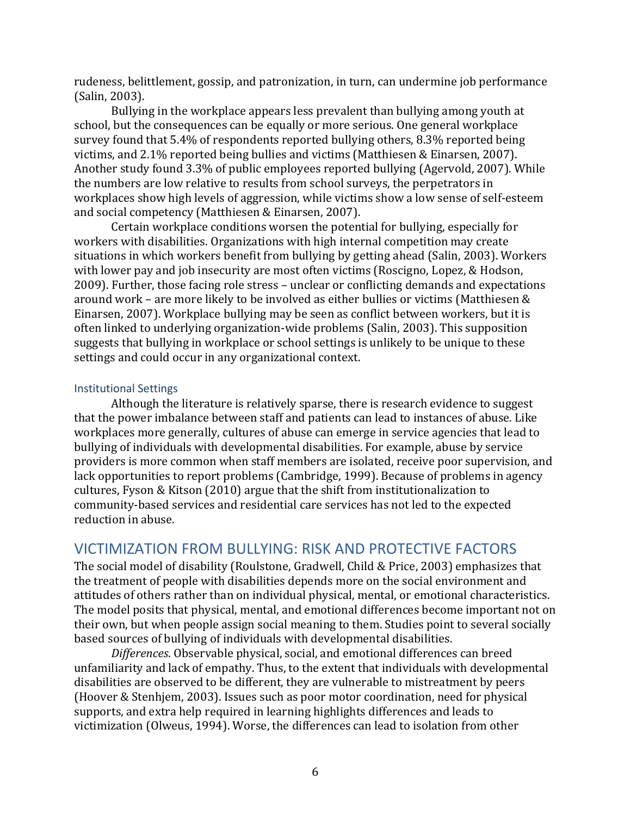rudeness, belittlement, gossip, and patronization, in turn, can undermine job performance (Salin, 2003).

Bullying in the workplace appears less prevalent than bullying among youth at school, but the consequences can be equally or more serious. One general workplace survey found that 5.4% of respondents reported bullying others, 8.3% reported being victims, and 2.1% reported being bullies and victims (Matthiesen & Einarsen, 2007). Another study found 3.3% of public employees reported bullying (Agervold, 2007). While the numbers are low relative to results from school surveys, the perpetrators in workplaces show high levels of aggression, while victims show a low sense of self-esteem and social competency (Matthiesen & Einarsen, 2007).

Certain workplace conditions worsen the potential for bullying, especially for workers with disabilities. Organizations with high internal competition may create situations in which workers benefit from bullying by getting ahead (Salin, 2003). Workers with lower pay and job insecurity are most often victims (Roscigno, Lopez, & Hodson, 2009). Further, those facing role stress – unclear or conflicting demands and expectations around work – are more likely to be involved as either bullies or victims (Matthiesen & Einarsen, 2007). Workplace bullying may be seen as conflict between workers, but it is often linked to underlying organization-wide problems (Salin, 2003). This supposition suggests that bullying in workplace or school settings is unlikely to be unique to these settings and could occur in any organizational context.

#### <span id="page-6-0"></span>Institutional Settings

Although the literature is relatively sparse, there is research evidence to suggest that the power imbalance between staff and patients can lead to instances of abuse. Like workplaces more generally, cultures of abuse can emerge in service agencies that lead to bullying of individuals with developmental disabilities. For example, abuse by service providers is more common when staff members are isolated, receive poor supervision, and lack opportunities to report problems (Cambridge, 1999). Because of problems in agency cultures, Fyson & Kitson (2010) argue that the shift from institutionalization to community-based services and residential care services has not led to the expected reduction in abuse.

# <span id="page-6-1"></span>VICTIMIZATION FROM BULLYING: RISK AND PROTECTIVE FACTORS

The social model of disability (Roulstone, Gradwell, Child & Price, 2003) emphasizes that the treatment of people with disabilities depends more on the social environment and attitudes of others rather than on individual physical, mental, or emotional characteristics. The model posits that physical, mental, and emotional differences become important not on their own, but when people assign social meaning to them. Studies point to several socially based sources of bullying of individuals with developmental disabilities.

*Differences*. Observable physical, social, and emotional differences can breed unfamiliarity and lack of empathy. Thus, to the extent that individuals with developmental disabilities are observed to be different, they are vulnerable to mistreatment by peers (Hoover & Stenhjem, 2003). Issues such as poor motor coordination, need for physical supports, and extra help required in learning highlights differences and leads to victimization (Olweus, 1994). Worse, the differences can lead to isolation from other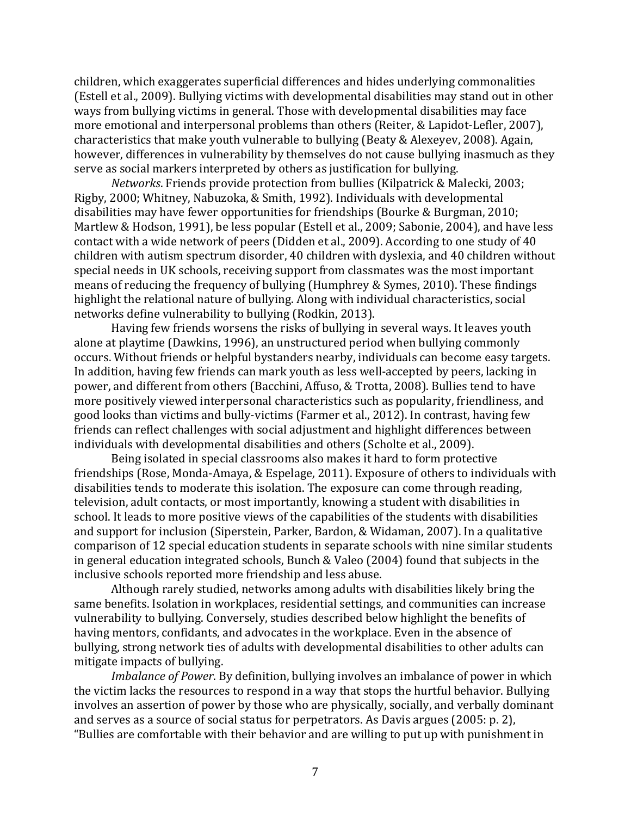children, which exaggerates superficial differences and hides underlying commonalities (Estell et al., 2009). Bullying victims with developmental disabilities may stand out in other ways from bullying victims in general. Those with developmental disabilities may face more emotional and interpersonal problems than others (Reiter, & Lapidot-Lefler, 2007), characteristics that make youth vulnerable to bullying (Beaty & Alexeyev, 2008). Again, however, differences in vulnerability by themselves do not cause bullying inasmuch as they serve as social markers interpreted by others as justification for bullying.

*Networks*. Friends provide protection from bullies (Kilpatrick & Malecki, 2003; Rigby, 2000; Whitney, Nabuzoka, & Smith, 1992). Individuals with developmental disabilities may have fewer opportunities for friendships (Bourke & Burgman, 2010; Martlew & Hodson, 1991), be less popular (Estell et al., 2009; Sabonie, 2004), and have less contact with a wide network of peers (Didden et al., 2009). According to one study of 40 children with autism spectrum disorder, 40 children with dyslexia, and 40 children without special needs in UK schools, receiving support from classmates was the most important means of reducing the frequency of bullying (Humphrey & Symes, 2010). These findings highlight the relational nature of bullying. Along with individual characteristics, social networks define vulnerability to bullying (Rodkin, 2013).

Having few friends worsens the risks of bullying in several ways. It leaves youth alone at playtime (Dawkins, 1996), an unstructured period when bullying commonly occurs. Without friends or helpful bystanders nearby, individuals can become easy targets. In addition, having few friends can mark youth as less well-accepted by peers, lacking in power, and different from others (Bacchini, Affuso, & Trotta, 2008). Bullies tend to have more positively viewed interpersonal characteristics such as popularity, friendliness, and good looks than victims and bully-victims (Farmer et al., 2012). In contrast, having few friends can reflect challenges with social adjustment and highlight differences between individuals with developmental disabilities and others (Scholte et al., 2009).

Being isolated in special classrooms also makes it hard to form protective friendships (Rose, Monda-Amaya, & Espelage, 2011). Exposure of others to individuals with disabilities tends to moderate this isolation. The exposure can come through reading, television, adult contacts, or most importantly, knowing a student with disabilities in school. It leads to more positive views of the capabilities of the students with disabilities and support for inclusion (Siperstein, Parker, Bardon, & Widaman, 2007). In a qualitative comparison of 12 special education students in separate schools with nine similar students in general education integrated schools, Bunch & Valeo (2004) found that subjects in the inclusive schools reported more friendship and less abuse.

Although rarely studied, networks among adults with disabilities likely bring the same benefits. Isolation in workplaces, residential settings, and communities can increase vulnerability to bullying. Conversely, studies described below highlight the benefits of having mentors, confidants, and advocates in the workplace. Even in the absence of bullying, strong network ties of adults with developmental disabilities to other adults can mitigate impacts of bullying.

*Imbalance of Power*. By definition, bullying involves an imbalance of power in which the victim lacks the resources to respond in a way that stops the hurtful behavior. Bullying involves an assertion of power by those who are physically, socially, and verbally dominant and serves as a source of social status for perpetrators. As Davis argues (2005: p. 2), "Bullies are comfortable with their behavior and are willing to put up with punishment in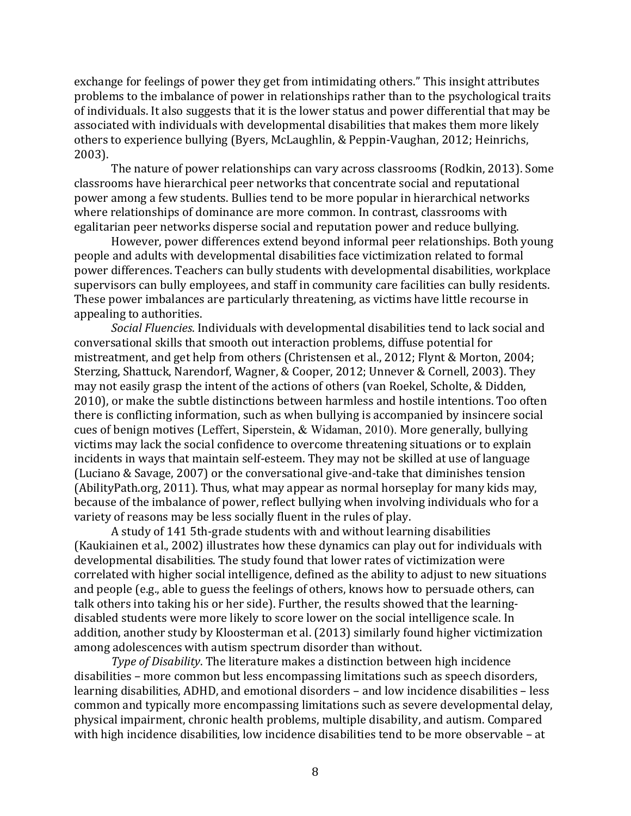exchange for feelings of power they get from intimidating others." This insight attributes problems to the imbalance of power in relationships rather than to the psychological traits of individuals. It also suggests that it is the lower status and power differential that may be associated with individuals with developmental disabilities that makes them more likely others to experience bullying (Byers, McLaughlin, & Peppin-Vaughan, 2012; Heinrichs, 2003).

The nature of power relationships can vary across classrooms (Rodkin, 2013). Some classrooms have hierarchical peer networks that concentrate social and reputational power among a few students. Bullies tend to be more popular in hierarchical networks where relationships of dominance are more common. In contrast, classrooms with egalitarian peer networks disperse social and reputation power and reduce bullying.

However, power differences extend beyond informal peer relationships. Both young people and adults with developmental disabilities face victimization related to formal power differences. Teachers can bully students with developmental disabilities, workplace supervisors can bully employees, and staff in community care facilities can bully residents. These power imbalances are particularly threatening, as victims have little recourse in appealing to authorities.

*Social Fluencies*. Individuals with developmental disabilities tend to lack social and conversational skills that smooth out interaction problems, diffuse potential for mistreatment, and get help from others (Christensen et al., 2012; Flynt & Morton, 2004; Sterzing, Shattuck, Narendorf, Wagner, & Cooper, 2012; Unnever & Cornell, 2003). They may not easily grasp the intent of the actions of others (van Roekel, Scholte, & Didden, 2010), or make the subtle distinctions between harmless and hostile intentions. Too often there is conflicting information, such as when bullying is accompanied by insincere social cues of benign motives (Leffert, Siperstein, & Widaman, 2010). More generally, bullying victims may lack the social confidence to overcome threatening situations or to explain incidents in ways that maintain self-esteem. They may not be skilled at use of language (Luciano & Savage, 2007) or the conversational give-and-take that diminishes tension (AbilityPath.org, 2011). Thus, what may appear as normal horseplay for many kids may, because of the imbalance of power, reflect bullying when involving individuals who for a variety of reasons may be less socially fluent in the rules of play.

A study of 141 5th-grade students with and without learning disabilities (Kaukiainen et al., 2002) illustrates how these dynamics can play out for individuals with developmental disabilities. The study found that lower rates of victimization were correlated with higher social intelligence, defined as the ability to adjust to new situations and people (e.g., able to guess the feelings of others, knows how to persuade others, can talk others into taking his or her side). Further, the results showed that the learningdisabled students were more likely to score lower on the social intelligence scale. In addition, another study by Kloosterman et al. (2013) similarly found higher victimization among adolescences with autism spectrum disorder than without.

*Type of Disability*. The literature makes a distinction between high incidence disabilities – more common but less encompassing limitations such as speech disorders, learning disabilities, ADHD, and emotional disorders – and low incidence disabilities – less common and typically more encompassing limitations such as severe developmental delay, physical impairment, chronic health problems, multiple disability, and autism. Compared with high incidence disabilities, low incidence disabilities tend to be more observable – at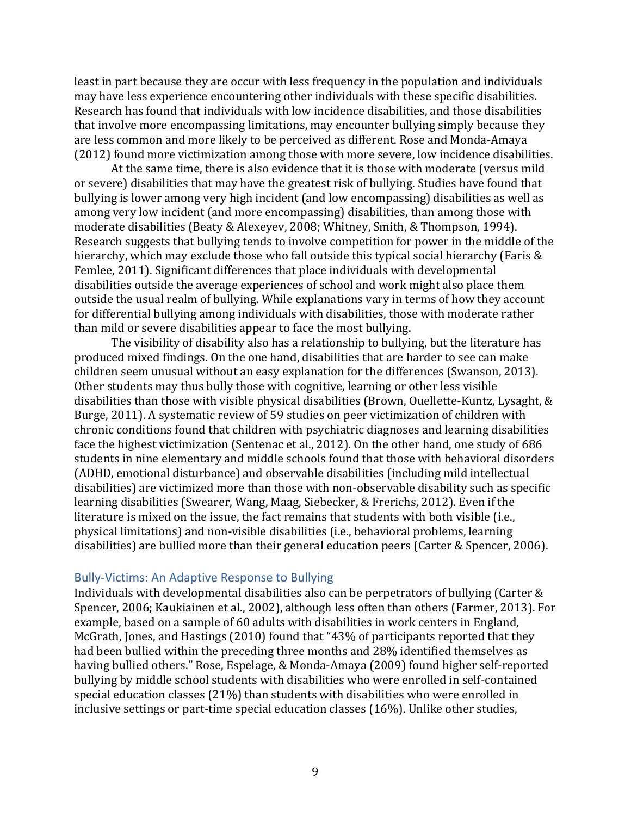least in part because they are occur with less frequency in the population and individuals may have less experience encountering other individuals with these specific disabilities. Research has found that individuals with low incidence disabilities, and those disabilities that involve more encompassing limitations, may encounter bullying simply because they are less common and more likely to be perceived as different. Rose and Monda-Amaya (2012) found more victimization among those with more severe, low incidence disabilities.

At the same time, there is also evidence that it is those with moderate (versus mild or severe) disabilities that may have the greatest risk of bullying. Studies have found that bullying is lower among very high incident (and low encompassing) disabilities as well as among very low incident (and more encompassing) disabilities, than among those with moderate disabilities (Beaty & Alexeyev, 2008; Whitney, Smith, & Thompson, 1994). Research suggests that bullying tends to involve competition for power in the middle of the hierarchy, which may exclude those who fall outside this typical social hierarchy (Faris & Femlee, 2011). Significant differences that place individuals with developmental disabilities outside the average experiences of school and work might also place them outside the usual realm of bullying. While explanations vary in terms of how they account for differential bullying among individuals with disabilities, those with moderate rather than mild or severe disabilities appear to face the most bullying.

The visibility of disability also has a relationship to bullying, but the literature has produced mixed findings. On the one hand, disabilities that are harder to see can make children seem unusual without an easy explanation for the differences (Swanson, 2013). Other students may thus bully those with cognitive, learning or other less visible disabilities than those with visible physical disabilities (Brown, Ouellette-Kuntz, Lysaght, & Burge, 2011). A systematic review of 59 studies on peer victimization of children with chronic conditions found that children with psychiatric diagnoses and learning disabilities face the highest victimization (Sentenac et al., 2012). On the other hand, one study of 686 students in nine elementary and middle schools found that those with behavioral disorders (ADHD, emotional disturbance) and observable disabilities (including mild intellectual disabilities) are victimized more than those with non-observable disability such as specific learning disabilities (Swearer, Wang, Maag, Siebecker, & Frerichs, 2012). Even if the literature is mixed on the issue, the fact remains that students with both visible (i.e., physical limitations) and non-visible disabilities (i.e., behavioral problems, learning disabilities) are bullied more than their general education peers (Carter & Spencer, 2006).

#### <span id="page-9-0"></span>Bully-Victims: An Adaptive Response to Bullying

Individuals with developmental disabilities also can be perpetrators of bullying (Carter & Spencer, 2006; Kaukiainen et al., 2002), although less often than others (Farmer, 2013). For example, based on a sample of 60 adults with disabilities in work centers in England, McGrath, Jones, and Hastings (2010) found that "43% of participants reported that they had been bullied within the preceding three months and 28% identified themselves as having bullied others." Rose, Espelage, & Monda-Amaya (2009) found higher self-reported bullying by middle school students with disabilities who were enrolled in self-contained special education classes (21%) than students with disabilities who were enrolled in inclusive settings or part-time special education classes (16%). Unlike other studies,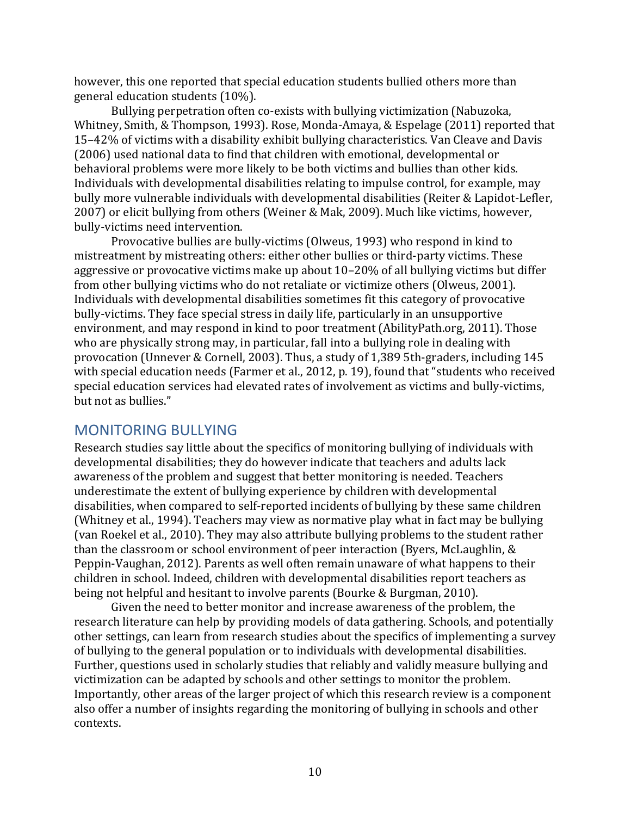however, this one reported that special education students bullied others more than general education students (10%).

Bullying perpetration often co-exists with bullying victimization (Nabuzoka, Whitney, Smith, & Thompson, 1993). Rose, Monda-Amaya, & Espelage (2011) reported that 15–42% of victims with a disability exhibit bullying characteristics. Van Cleave and Davis (2006) used national data to find that children with emotional, developmental or behavioral problems were more likely to be both victims and bullies than other kids. Individuals with developmental disabilities relating to impulse control, for example, may bully more vulnerable individuals with developmental disabilities (Reiter & Lapidot-Lefler, 2007) or elicit bullying from others (Weiner & Mak, 2009). Much like victims, however, bully-victims need intervention.

Provocative bullies are bully-victims (Olweus, 1993) who respond in kind to mistreatment by mistreating others: either other bullies or third-party victims. These aggressive or provocative victims make up about 10–20% of all bullying victims but differ from other bullying victims who do not retaliate or victimize others (Olweus, 2001). Individuals with developmental disabilities sometimes fit this category of provocative bully-victims. They face special stress in daily life, particularly in an unsupportive environment, and may respond in kind to poor treatment (AbilityPath.org, 2011). Those who are physically strong may, in particular, fall into a bullying role in dealing with provocation (Unnever & Cornell, 2003). Thus, a study of 1,389 5th-graders, including 145 with special education needs (Farmer et al., 2012, p. 19), found that "students who received special education services had elevated rates of involvement as victims and bully-victims, but not as bullies."

# <span id="page-10-0"></span>MONITORING BULLYING

Research studies say little about the specifics of monitoring bullying of individuals with developmental disabilities; they do however indicate that teachers and adults lack awareness of the problem and suggest that better monitoring is needed. Teachers underestimate the extent of bullying experience by children with developmental disabilities, when compared to self-reported incidents of bullying by these same children (Whitney et al., 1994). Teachers may view as normative play what in fact may be bullying (van Roekel et al., 2010). They may also attribute bullying problems to the student rather than the classroom or school environment of peer interaction (Byers, McLaughlin, & Peppin-Vaughan, 2012). Parents as well often remain unaware of what happens to their children in school. Indeed, children with developmental disabilities report teachers as being not helpful and hesitant to involve parents (Bourke & Burgman, 2010).

Given the need to better monitor and increase awareness of the problem, the research literature can help by providing models of data gathering. Schools, and potentially other settings, can learn from research studies about the specifics of implementing a survey of bullying to the general population or to individuals with developmental disabilities. Further, questions used in scholarly studies that reliably and validly measure bullying and victimization can be adapted by schools and other settings to monitor the problem. Importantly, other areas of the larger project of which this research review is a component also offer a number of insights regarding the monitoring of bullying in schools and other contexts.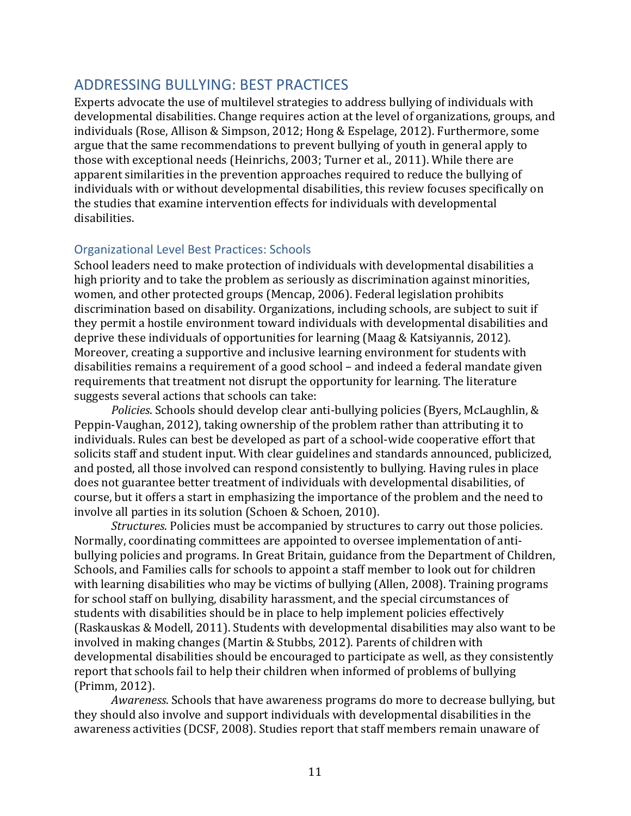# <span id="page-11-0"></span>ADDRESSING BULLYING: BEST PRACTICES

Experts advocate the use of multilevel strategies to address bullying of individuals with developmental disabilities. Change requires action at the level of organizations, groups, and individuals (Rose, Allison & Simpson, 2012; Hong & Espelage, 2012). Furthermore, some argue that the same recommendations to prevent bullying of youth in general apply to those with exceptional needs (Heinrichs, 2003; Turner et al., 2011). While there are apparent similarities in the prevention approaches required to reduce the bullying of individuals with or without developmental disabilities, this review focuses specifically on the studies that examine intervention effects for individuals with developmental disabilities.

# <span id="page-11-1"></span>Organizational Level Best Practices: Schools

School leaders need to make protection of individuals with developmental disabilities a high priority and to take the problem as seriously as discrimination against minorities, women, and other protected groups (Mencap, 2006). Federal legislation prohibits discrimination based on disability. Organizations, including schools, are subject to suit if they permit a hostile environment toward individuals with developmental disabilities and deprive these individuals of opportunities for learning (Maag & Katsiyannis, 2012). Moreover, creating a supportive and inclusive learning environment for students with disabilities remains a requirement of a good school – and indeed a federal mandate given requirements that treatment not disrupt the opportunity for learning. The literature suggests several actions that schools can take:

*Policies*. Schools should develop clear anti-bullying policies (Byers, McLaughlin, & Peppin-Vaughan, 2012), taking ownership of the problem rather than attributing it to individuals. Rules can best be developed as part of a school-wide cooperative effort that solicits staff and student input. With clear guidelines and standards announced, publicized, and posted, all those involved can respond consistently to bullying. Having rules in place does not guarantee better treatment of individuals with developmental disabilities, of course, but it offers a start in emphasizing the importance of the problem and the need to involve all parties in its solution (Schoen & Schoen, 2010).

*Structures*. Policies must be accompanied by structures to carry out those policies. Normally, coordinating committees are appointed to oversee implementation of antibullying policies and programs. In Great Britain, guidance from the Department of Children, Schools, and Families calls for schools to appoint a staff member to look out for children with learning disabilities who may be victims of bullying (Allen, 2008). Training programs for school staff on bullying, disability harassment, and the special circumstances of students with disabilities should be in place to help implement policies effectively (Raskauskas & Modell, 2011). Students with developmental disabilities may also want to be involved in making changes (Martin & Stubbs, 2012). Parents of children with developmental disabilities should be encouraged to participate as well, as they consistently report that schools fail to help their children when informed of problems of bullying (Primm, 2012).

*Awareness*. Schools that have awareness programs do more to decrease bullying, but they should also involve and support individuals with developmental disabilities in the awareness activities (DCSF, 2008). Studies report that staff members remain unaware of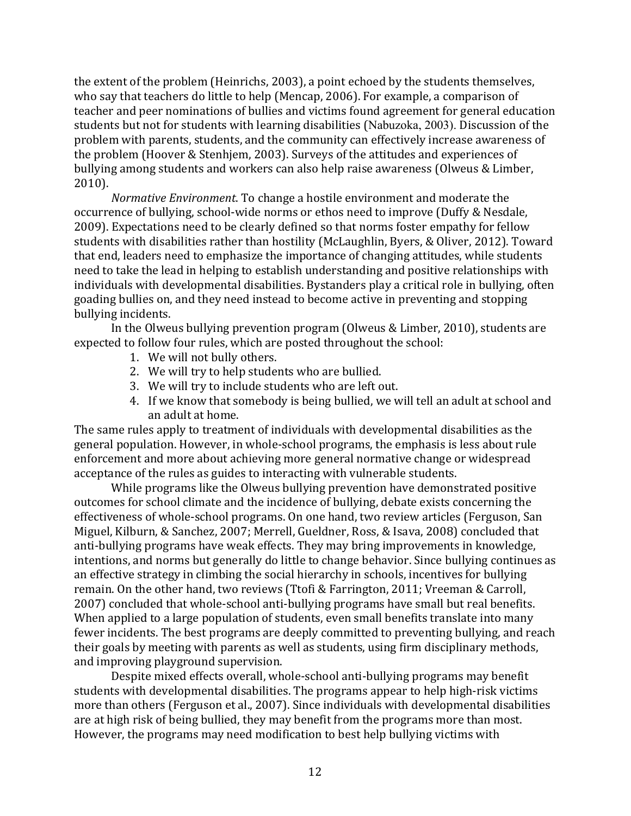the extent of the problem (Heinrichs, 2003), a point echoed by the students themselves, who say that teachers do little to help (Mencap, 2006). For example, a comparison of teacher and peer nominations of bullies and victims found agreement for general education students but not for students with learning disabilities (Nabuzoka, 2003). Discussion of the problem with parents, students, and the community can effectively increase awareness of the problem (Hoover & Stenhjem, 2003). Surveys of the attitudes and experiences of bullying among students and workers can also help raise awareness (Olweus & Limber, 2010).

*Normative Environment*. To change a hostile environment and moderate the occurrence of bullying, school-wide norms or ethos need to improve (Duffy & Nesdale, 2009). Expectations need to be clearly defined so that norms foster empathy for fellow students with disabilities rather than hostility (McLaughlin, Byers, & Oliver, 2012). Toward that end, leaders need to emphasize the importance of changing attitudes, while students need to take the lead in helping to establish understanding and positive relationships with individuals with developmental disabilities. Bystanders play a critical role in bullying, often goading bullies on, and they need instead to become active in preventing and stopping bullying incidents.

In the Olweus bullying prevention program (Olweus & Limber, 2010), students are expected to follow four rules, which are posted throughout the school:

- 1. We will not bully others.
- 2. We will try to help students who are bullied.
- 3. We will try to include students who are left out.
- 4. If we know that somebody is being bullied, we will tell an adult at school and an adult at home.

The same rules apply to treatment of individuals with developmental disabilities as the general population. However, in whole-school programs, the emphasis is less about rule enforcement and more about achieving more general normative change or widespread acceptance of the rules as guides to interacting with vulnerable students.

While programs like the Olweus bullying prevention have demonstrated positive outcomes for school climate and the incidence of bullying, debate exists concerning the effectiveness of whole-school programs. On one hand, two review articles (Ferguson, San Miguel, Kilburn, & Sanchez, 2007; Merrell, Gueldner, Ross, & Isava, 2008) concluded that anti-bullying programs have weak effects. They may bring improvements in knowledge, intentions, and norms but generally do little to change behavior. Since bullying continues as an effective strategy in climbing the social hierarchy in schools, incentives for bullying remain. On the other hand, two reviews (Ttofi & Farrington, 2011; Vreeman & Carroll, 2007) concluded that whole-school anti-bullying programs have small but real benefits. When applied to a large population of students, even small benefits translate into many fewer incidents. The best programs are deeply committed to preventing bullying, and reach their goals by meeting with parents as well as students, using firm disciplinary methods, and improving playground supervision.

Despite mixed effects overall, whole-school anti-bullying programs may benefit students with developmental disabilities. The programs appear to help high-risk victims more than others (Ferguson et al., 2007). Since individuals with developmental disabilities are at high risk of being bullied, they may benefit from the programs more than most. However, the programs may need modification to best help bullying victims with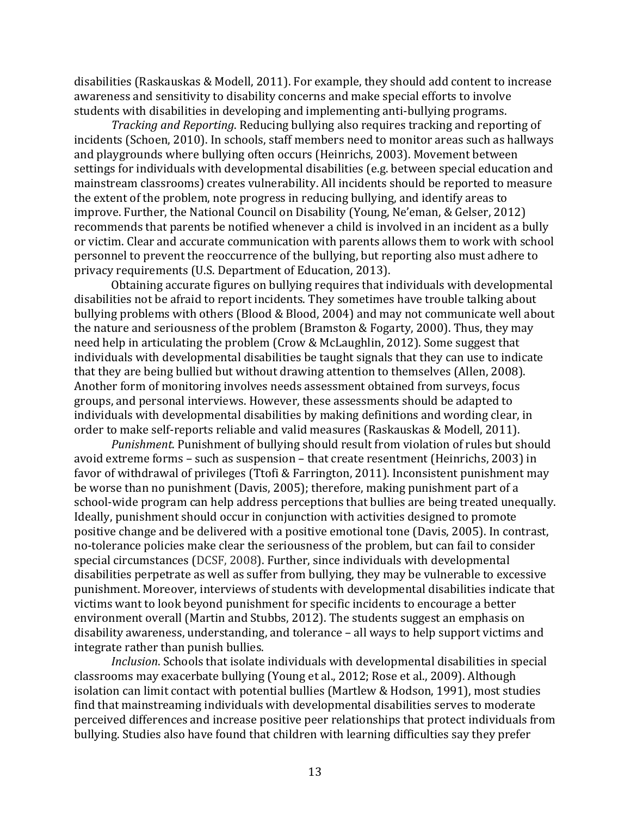disabilities (Raskauskas & Modell, 2011). For example, they should add content to increase awareness and sensitivity to disability concerns and make special efforts to involve students with disabilities in developing and implementing anti-bullying programs.

*Tracking and Reporting*. Reducing bullying also requires tracking and reporting of incidents (Schoen, 2010). In schools, staff members need to monitor areas such as hallways and playgrounds where bullying often occurs (Heinrichs, 2003). Movement between settings for individuals with developmental disabilities (e.g. between special education and mainstream classrooms) creates vulnerability. All incidents should be reported to measure the extent of the problem, note progress in reducing bullying, and identify areas to improve. Further, the National Council on Disability (Young, Ne'eman, & Gelser, 2012) recommends that parents be notified whenever a child is involved in an incident as a bully or victim. Clear and accurate communication with parents allows them to work with school personnel to prevent the reoccurrence of the bullying, but reporting also must adhere to privacy requirements (U.S. Department of Education, 2013).

Obtaining accurate figures on bullying requires that individuals with developmental disabilities not be afraid to report incidents. They sometimes have trouble talking about bullying problems with others (Blood & Blood, 2004) and may not communicate well about the nature and seriousness of the problem (Bramston & Fogarty, 2000). Thus, they may need help in articulating the problem (Crow & McLaughlin, 2012). Some suggest that individuals with developmental disabilities be taught signals that they can use to indicate that they are being bullied but without drawing attention to themselves (Allen, 2008). Another form of monitoring involves needs assessment obtained from surveys, focus groups, and personal interviews. However, these assessments should be adapted to individuals with developmental disabilities by making definitions and wording clear, in order to make self-reports reliable and valid measures (Raskauskas & Modell, 2011).

*Punishment*. Punishment of bullying should result from violation of rules but should avoid extreme forms – such as suspension – that create resentment (Heinrichs, 2003) in favor of withdrawal of privileges (Ttofi & Farrington, 2011). Inconsistent punishment may be worse than no punishment (Davis, 2005); therefore, making punishment part of a school-wide program can help address perceptions that bullies are being treated unequally. Ideally, punishment should occur in conjunction with activities designed to promote positive change and be delivered with a positive emotional tone (Davis, 2005). In contrast, no-tolerance policies make clear the seriousness of the problem, but can fail to consider special circumstances (DCSF, 2008). Further, since individuals with developmental disabilities perpetrate as well as suffer from bullying, they may be vulnerable to excessive punishment. Moreover, interviews of students with developmental disabilities indicate that victims want to look beyond punishment for specific incidents to encourage a better environment overall (Martin and Stubbs, 2012). The students suggest an emphasis on disability awareness, understanding, and tolerance – all ways to help support victims and integrate rather than punish bullies.

*Inclusion*. Schools that isolate individuals with developmental disabilities in special classrooms may exacerbate bullying (Young et al., 2012; Rose et al., 2009). Although isolation can limit contact with potential bullies (Martlew & Hodson, 1991), most studies find that mainstreaming individuals with developmental disabilities serves to moderate perceived differences and increase positive peer relationships that protect individuals from bullying. Studies also have found that children with learning difficulties say they prefer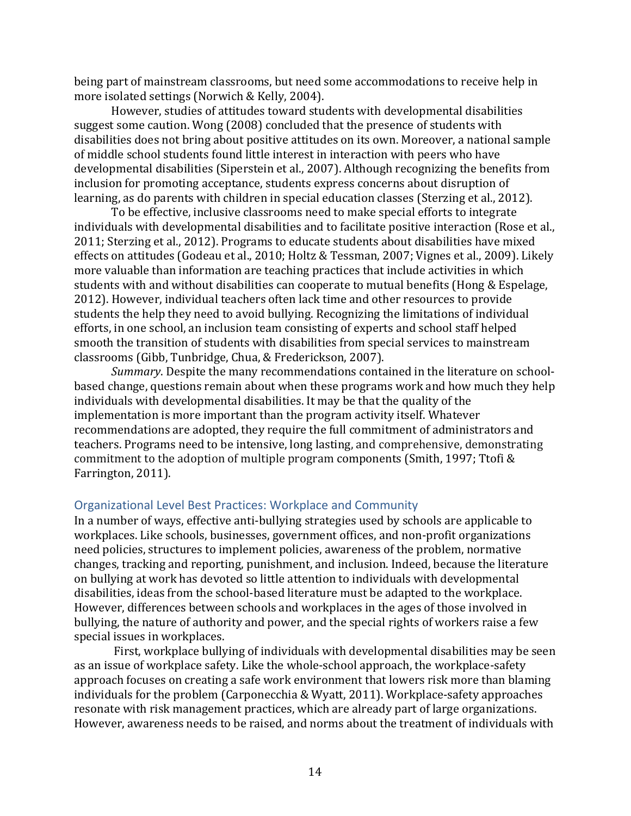being part of mainstream classrooms, but need some accommodations to receive help in more isolated settings (Norwich & Kelly, 2004).

However, studies of attitudes toward students with developmental disabilities suggest some caution. Wong (2008) concluded that the presence of students with disabilities does not bring about positive attitudes on its own. Moreover, a national sample of middle school students found little interest in interaction with peers who have developmental disabilities (Siperstein et al., 2007). Although recognizing the benefits from inclusion for promoting acceptance, students express concerns about disruption of learning, as do parents with children in special education classes (Sterzing et al., 2012).

To be effective, inclusive classrooms need to make special efforts to integrate individuals with developmental disabilities and to facilitate positive interaction (Rose et al., 2011; Sterzing et al., 2012). Programs to educate students about disabilities have mixed effects on attitudes (Godeau et al., 2010; Holtz & Tessman, 2007; Vignes et al., 2009). Likely more valuable than information are teaching practices that include activities in which students with and without disabilities can cooperate to mutual benefits (Hong & Espelage, 2012). However, individual teachers often lack time and other resources to provide students the help they need to avoid bullying. Recognizing the limitations of individual efforts, in one school, an inclusion team consisting of experts and school staff helped smooth the transition of students with disabilities from special services to mainstream classrooms (Gibb, Tunbridge, Chua, & Frederickson, 2007).

*Summary*. Despite the many recommendations contained in the literature on schoolbased change, questions remain about when these programs work and how much they help individuals with developmental disabilities. It may be that the quality of the implementation is more important than the program activity itself. Whatever recommendations are adopted, they require the full commitment of administrators and teachers. Programs need to be intensive, long lasting, and comprehensive, demonstrating commitment to the adoption of multiple program components (Smith, 1997; Ttofi & Farrington, 2011).

# <span id="page-14-0"></span>Organizational Level Best Practices: Workplace and Community

In a number of ways, effective anti-bullying strategies used by schools are applicable to workplaces. Like schools, businesses, government offices, and non-profit organizations need policies, structures to implement policies, awareness of the problem, normative changes, tracking and reporting, punishment, and inclusion. Indeed, because the literature on bullying at work has devoted so little attention to individuals with developmental disabilities, ideas from the school-based literature must be adapted to the workplace. However, differences between schools and workplaces in the ages of those involved in bullying, the nature of authority and power, and the special rights of workers raise a few special issues in workplaces.

First, workplace bullying of individuals with developmental disabilities may be seen as an issue of workplace safety. Like the whole-school approach, the workplace-safety approach focuses on creating a safe work environment that lowers risk more than blaming individuals for the problem (Carponecchia & Wyatt, 2011). Workplace-safety approaches resonate with risk management practices, which are already part of large organizations. However, awareness needs to be raised, and norms about the treatment of individuals with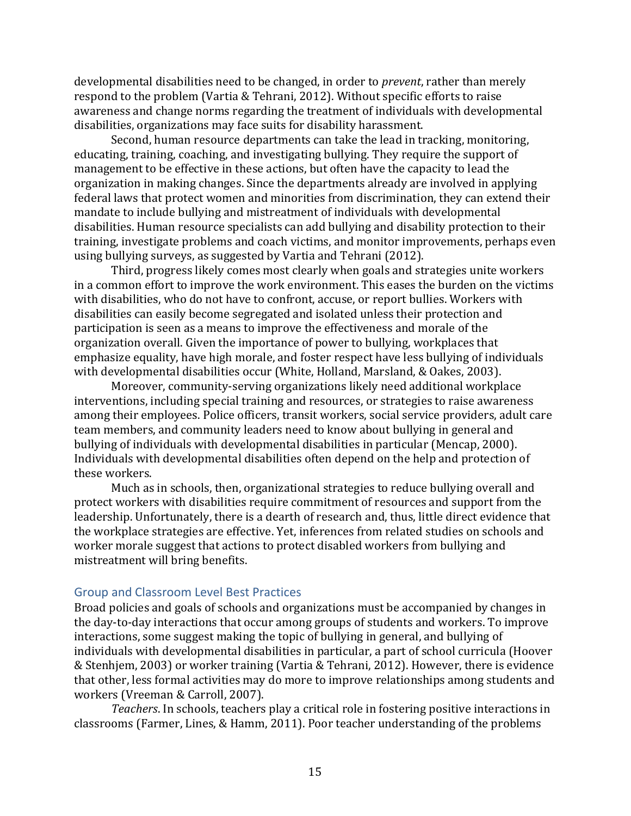developmental disabilities need to be changed, in order to *prevent*, rather than merely respond to the problem (Vartia & Tehrani, 2012). Without specific efforts to raise awareness and change norms regarding the treatment of individuals with developmental disabilities, organizations may face suits for disability harassment.

Second, human resource departments can take the lead in tracking, monitoring, educating, training, coaching, and investigating bullying. They require the support of management to be effective in these actions, but often have the capacity to lead the organization in making changes. Since the departments already are involved in applying federal laws that protect women and minorities from discrimination, they can extend their mandate to include bullying and mistreatment of individuals with developmental disabilities. Human resource specialists can add bullying and disability protection to their training, investigate problems and coach victims, and monitor improvements, perhaps even using bullying surveys, as suggested by Vartia and Tehrani (2012).

Third, progress likely comes most clearly when goals and strategies unite workers in a common effort to improve the work environment. This eases the burden on the victims with disabilities, who do not have to confront, accuse, or report bullies. Workers with disabilities can easily become segregated and isolated unless their protection and participation is seen as a means to improve the effectiveness and morale of the organization overall. Given the importance of power to bullying, workplaces that emphasize equality, have high morale, and foster respect have less bullying of individuals with developmental disabilities occur (White, Holland, Marsland, & Oakes, 2003).

Moreover, community-serving organizations likely need additional workplace interventions, including special training and resources, or strategies to raise awareness among their employees. Police officers, transit workers, social service providers, adult care team members, and community leaders need to know about bullying in general and bullying of individuals with developmental disabilities in particular (Mencap, 2000). Individuals with developmental disabilities often depend on the help and protection of these workers.

Much as in schools, then, organizational strategies to reduce bullying overall and protect workers with disabilities require commitment of resources and support from the leadership. Unfortunately, there is a dearth of research and, thus, little direct evidence that the workplace strategies are effective. Yet, inferences from related studies on schools and worker morale suggest that actions to protect disabled workers from bullying and mistreatment will bring benefits.

#### <span id="page-15-0"></span>Group and Classroom Level Best Practices

Broad policies and goals of schools and organizations must be accompanied by changes in the day-to-day interactions that occur among groups of students and workers. To improve interactions, some suggest making the topic of bullying in general, and bullying of individuals with developmental disabilities in particular, a part of school curricula (Hoover & Stenhjem, 2003) or worker training (Vartia & Tehrani, 2012). However, there is evidence that other, less formal activities may do more to improve relationships among students and workers (Vreeman & Carroll, 2007).

*Teachers*. In schools, teachers play a critical role in fostering positive interactions in classrooms (Farmer, Lines, & Hamm, 2011). Poor teacher understanding of the problems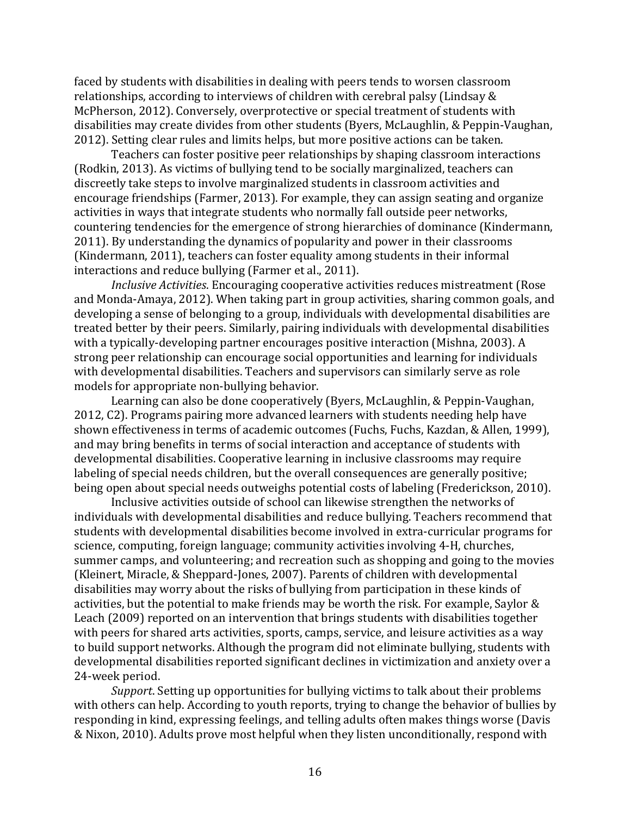faced by students with disabilities in dealing with peers tends to worsen classroom relationships, according to interviews of children with cerebral palsy (Lindsay & McPherson, 2012). Conversely, overprotective or special treatment of students with disabilities may create divides from other students (Byers, McLaughlin, & Peppin-Vaughan, 2012). Setting clear rules and limits helps, but more positive actions can be taken.

Teachers can foster positive peer relationships by shaping classroom interactions (Rodkin, 2013). As victims of bullying tend to be socially marginalized, teachers can discreetly take steps to involve marginalized students in classroom activities and encourage friendships (Farmer, 2013). For example, they can assign seating and organize activities in ways that integrate students who normally fall outside peer networks, countering tendencies for the emergence of strong hierarchies of dominance (Kindermann, 2011). By understanding the dynamics of popularity and power in their classrooms (Kindermann, 2011), teachers can foster equality among students in their informal interactions and reduce bullying (Farmer et al., 2011).

*Inclusive Activities*. Encouraging cooperative activities reduces mistreatment (Rose and Monda-Amaya, 2012). When taking part in group activities, sharing common goals, and developing a sense of belonging to a group, individuals with developmental disabilities are treated better by their peers. Similarly, pairing individuals with developmental disabilities with a typically-developing partner encourages positive interaction (Mishna, 2003). A strong peer relationship can encourage social opportunities and learning for individuals with developmental disabilities. Teachers and supervisors can similarly serve as role models for appropriate non-bullying behavior.

Learning can also be done cooperatively (Byers, McLaughlin, & Peppin-Vaughan, 2012, C2). Programs pairing more advanced learners with students needing help have shown effectiveness in terms of academic outcomes (Fuchs, Fuchs, Kazdan, & Allen, 1999), and may bring benefits in terms of social interaction and acceptance of students with developmental disabilities. Cooperative learning in inclusive classrooms may require labeling of special needs children, but the overall consequences are generally positive; being open about special needs outweighs potential costs of labeling (Frederickson, 2010).

Inclusive activities outside of school can likewise strengthen the networks of individuals with developmental disabilities and reduce bullying. Teachers recommend that students with developmental disabilities become involved in extra-curricular programs for science, computing, foreign language; community activities involving 4-H, churches, summer camps, and volunteering; and recreation such as shopping and going to the movies (Kleinert, Miracle, & Sheppard-Jones, 2007). Parents of children with developmental disabilities may worry about the risks of bullying from participation in these kinds of activities, but the potential to make friends may be worth the risk. For example, Saylor & Leach (2009) reported on an intervention that brings students with disabilities together with peers for shared arts activities, sports, camps, service, and leisure activities as a way to build support networks. Although the program did not eliminate bullying, students with developmental disabilities reported significant declines in victimization and anxiety over a 24-week period.

*Support*. Setting up opportunities for bullying victims to talk about their problems with others can help. According to youth reports, trying to change the behavior of bullies by responding in kind, expressing feelings, and telling adults often makes things worse (Davis & Nixon, 2010). Adults prove most helpful when they listen unconditionally, respond with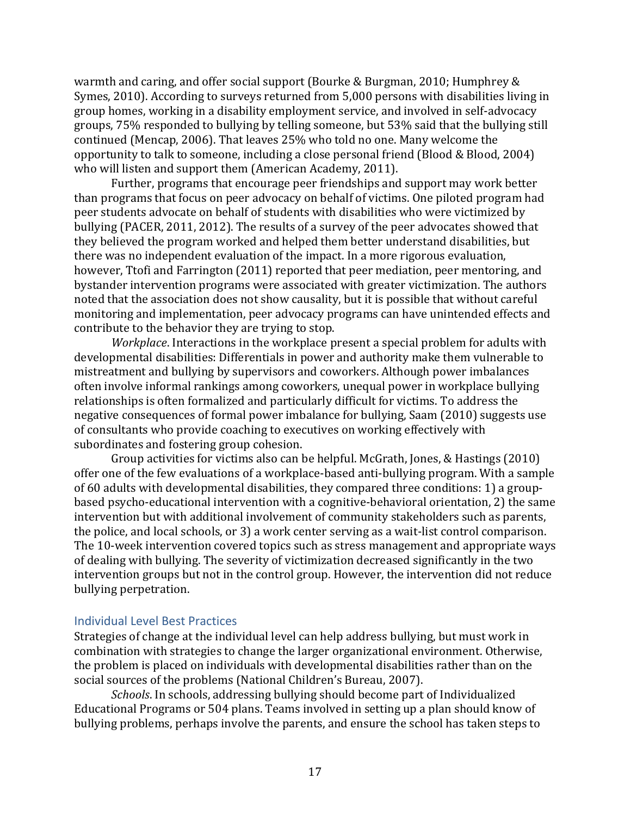warmth and caring, and offer social support (Bourke & Burgman, 2010; Humphrey & Symes, 2010). According to surveys returned from 5,000 persons with disabilities living in group homes, working in a disability employment service, and involved in self-advocacy groups, 75% responded to bullying by telling someone, but 53% said that the bullying still continued (Mencap, 2006). That leaves 25% who told no one. Many welcome the opportunity to talk to someone, including a close personal friend (Blood & Blood, 2004) who will listen and support them (American Academy, 2011).

Further, programs that encourage peer friendships and support may work better than programs that focus on peer advocacy on behalf of victims. One piloted program had peer students advocate on behalf of students with disabilities who were victimized by bullying (PACER, 2011, 2012). The results of a survey of the peer advocates showed that they believed the program worked and helped them better understand disabilities, but there was no independent evaluation of the impact. In a more rigorous evaluation, however, Ttofi and Farrington (2011) reported that peer mediation, peer mentoring, and bystander intervention programs were associated with greater victimization. The authors noted that the association does not show causality, but it is possible that without careful monitoring and implementation, peer advocacy programs can have unintended effects and contribute to the behavior they are trying to stop.

*Workplace*. Interactions in the workplace present a special problem for adults with developmental disabilities: Differentials in power and authority make them vulnerable to mistreatment and bullying by supervisors and coworkers. Although power imbalances often involve informal rankings among coworkers, unequal power in workplace bullying relationships is often formalized and particularly difficult for victims. To address the negative consequences of formal power imbalance for bullying, Saam (2010) suggests use of consultants who provide coaching to executives on working effectively with subordinates and fostering group cohesion.

Group activities for victims also can be helpful. McGrath, Jones, & Hastings (2010) offer one of the few evaluations of a workplace-based anti-bullying program. With a sample of 60 adults with developmental disabilities, they compared three conditions: 1) a groupbased psycho-educational intervention with a cognitive-behavioral orientation, 2) the same intervention but with additional involvement of community stakeholders such as parents, the police, and local schools, or 3) a work center serving as a wait-list control comparison. The 10-week intervention covered topics such as stress management and appropriate ways of dealing with bullying. The severity of victimization decreased significantly in the two intervention groups but not in the control group. However, the intervention did not reduce bullying perpetration.

#### <span id="page-17-0"></span>Individual Level Best Practices

Strategies of change at the individual level can help address bullying, but must work in combination with strategies to change the larger organizational environment. Otherwise, the problem is placed on individuals with developmental disabilities rather than on the social sources of the problems (National Children's Bureau, 2007).

*Schools*. In schools, addressing bullying should become part of Individualized Educational Programs or 504 plans. Teams involved in setting up a plan should know of bullying problems, perhaps involve the parents, and ensure the school has taken steps to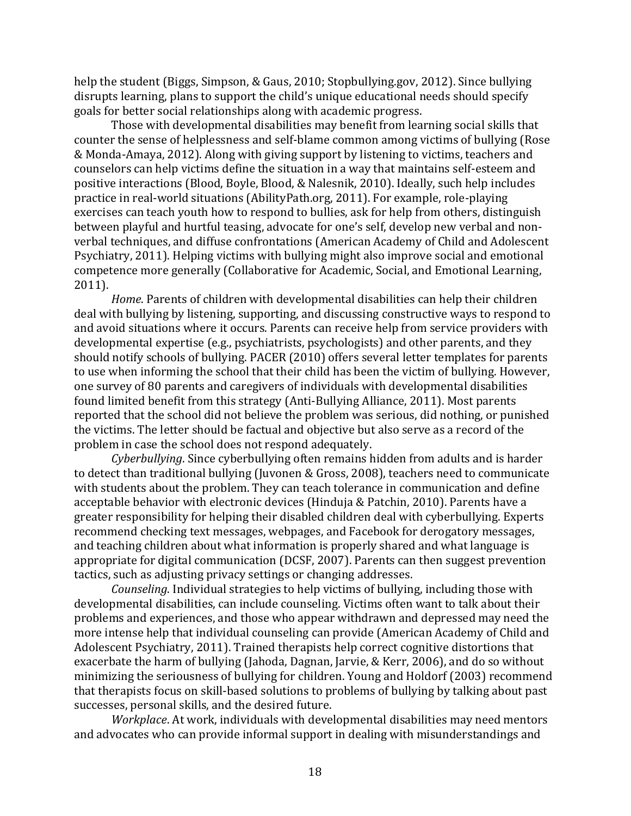help the student (Biggs, Simpson, & Gaus, 2010; Stopbullying.gov, 2012). Since bullying disrupts learning, plans to support the child's unique educational needs should specify goals for better social relationships along with academic progress.

Those with developmental disabilities may benefit from learning social skills that counter the sense of helplessness and self-blame common among victims of bullying (Rose & Monda-Amaya, 2012). Along with giving support by listening to victims, teachers and counselors can help victims define the situation in a way that maintains self-esteem and positive interactions (Blood, Boyle, Blood, & Nalesnik, 2010). Ideally, such help includes practice in real-world situations (AbilityPath.org, 2011). For example, role-playing exercises can teach youth how to respond to bullies, ask for help from others, distinguish between playful and hurtful teasing, advocate for one's self, develop new verbal and nonverbal techniques, and diffuse confrontations (American Academy of Child and Adolescent Psychiatry, 2011). Helping victims with bullying might also improve social and emotional competence more generally (Collaborative for Academic, Social, and Emotional Learning, 2011).

*Home*. Parents of children with developmental disabilities can help their children deal with bullying by listening, supporting, and discussing constructive ways to respond to and avoid situations where it occurs. Parents can receive help from service providers with developmental expertise (e.g., psychiatrists, psychologists) and other parents, and they should notify schools of bullying. PACER (2010) offers several letter templates for parents to use when informing the school that their child has been the victim of bullying. However, one survey of 80 parents and caregivers of individuals with developmental disabilities found limited benefit from this strategy (Anti-Bullying Alliance, 2011). Most parents reported that the school did not believe the problem was serious, did nothing, or punished the victims. The letter should be factual and objective but also serve as a record of the problem in case the school does not respond adequately.

*Cyberbullying*. Since cyberbullying often remains hidden from adults and is harder to detect than traditional bullying (Juvonen & Gross, 2008), teachers need to communicate with students about the problem. They can teach tolerance in communication and define acceptable behavior with electronic devices (Hinduja & Patchin, 2010). Parents have a greater responsibility for helping their disabled children deal with cyberbullying. Experts recommend checking text messages, webpages, and Facebook for derogatory messages, and teaching children about what information is properly shared and what language is appropriate for digital communication (DCSF, 2007). Parents can then suggest prevention tactics, such as adjusting privacy settings or changing addresses.

*Counseling*. Individual strategies to help victims of bullying, including those with developmental disabilities, can include counseling. Victims often want to talk about their problems and experiences, and those who appear withdrawn and depressed may need the more intense help that individual counseling can provide (American Academy of Child and Adolescent Psychiatry, 2011). Trained therapists help correct cognitive distortions that exacerbate the harm of bullying (Jahoda, Dagnan, Jarvie, & Kerr, 2006), and do so without minimizing the seriousness of bullying for children. Young and Holdorf (2003) recommend that therapists focus on skill-based solutions to problems of bullying by talking about past successes, personal skills, and the desired future.

*Workplace*. At work, individuals with developmental disabilities may need mentors and advocates who can provide informal support in dealing with misunderstandings and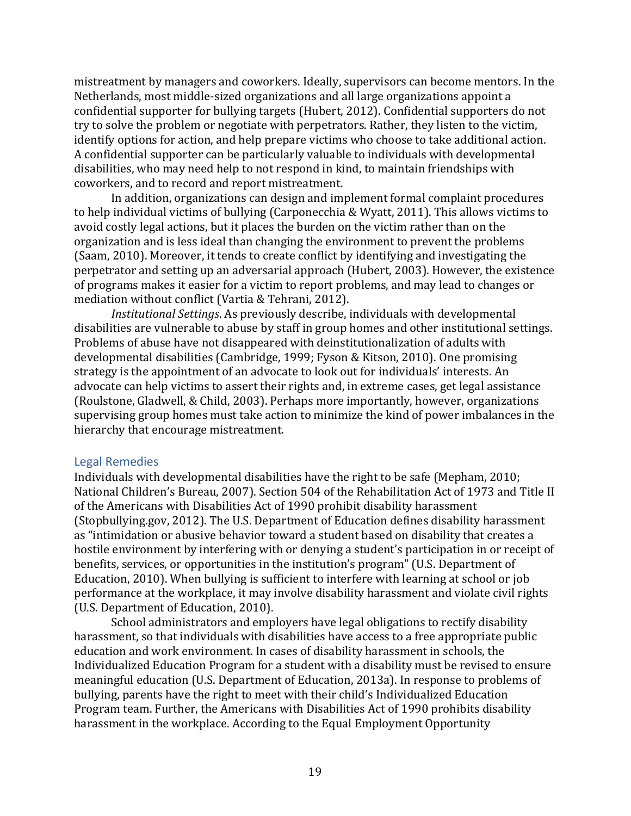mistreatment by managers and coworkers. Ideally, supervisors can become mentors. In the Netherlands, most middle-sized organizations and all large organizations appoint a confidential supporter for bullying targets (Hubert, 2012). Confidential supporters do not try to solve the problem or negotiate with perpetrators. Rather, they listen to the victim, identify options for action, and help prepare victims who choose to take additional action. A confidential supporter can be particularly valuable to individuals with developmental disabilities, who may need help to not respond in kind, to maintain friendships with coworkers, and to record and report mistreatment.

In addition, organizations can design and implement formal complaint procedures to help individual victims of bullying (Carponecchia & Wyatt, 2011). This allows victims to avoid costly legal actions, but it places the burden on the victim rather than on the organization and is less ideal than changing the environment to prevent the problems (Saam, 2010). Moreover, it tends to create conflict by identifying and investigating the perpetrator and setting up an adversarial approach (Hubert, 2003). However, the existence of programs makes it easier for a victim to report problems, and may lead to changes or mediation without conflict (Vartia & Tehrani, 2012).

*Institutional Settings*. As previously describe, individuals with developmental disabilities are vulnerable to abuse by staff in group homes and other institutional settings. Problems of abuse have not disappeared with deinstitutionalization of adults with developmental disabilities (Cambridge, 1999; Fyson & Kitson, 2010). One promising strategy is the appointment of an advocate to look out for individuals' interests. An advocate can help victims to assert their rights and, in extreme cases, get legal assistance (Roulstone, Gladwell, & Child, 2003). Perhaps more importantly, however, organizations supervising group homes must take action to minimize the kind of power imbalances in the hierarchy that encourage mistreatment.

#### <span id="page-19-0"></span>Legal Remedies

Individuals with developmental disabilities have the right to be safe (Mepham, 2010; National Children's Bureau, 2007). Section 504 of the Rehabilitation Act of 1973 and Title II of the Americans with Disabilities Act of 1990 prohibit disability harassment (Stopbullying.gov, 2012). The U.S. Department of Education defines disability harassment as "intimidation or abusive behavior toward a student based on disability that creates a hostile environment by interfering with or denying a student's participation in or receipt of benefits, services, or opportunities in the institution's program" (U.S. Department of Education, 2010). When bullying is sufficient to interfere with learning at school or job performance at the workplace, it may involve disability harassment and violate civil rights (U.S. Department of Education, 2010).

School administrators and employers have legal obligations to rectify disability harassment, so that individuals with disabilities have access to a free appropriate public education and work environment. In cases of disability harassment in schools, the Individualized Education Program for a student with a disability must be revised to ensure meaningful education (U.S. Department of Education, 2013a). In response to problems of bullying, parents have the right to meet with their child's Individualized Education Program team. Further, the Americans with Disabilities Act of 1990 prohibits disability harassment in the workplace. According to the Equal Employment Opportunity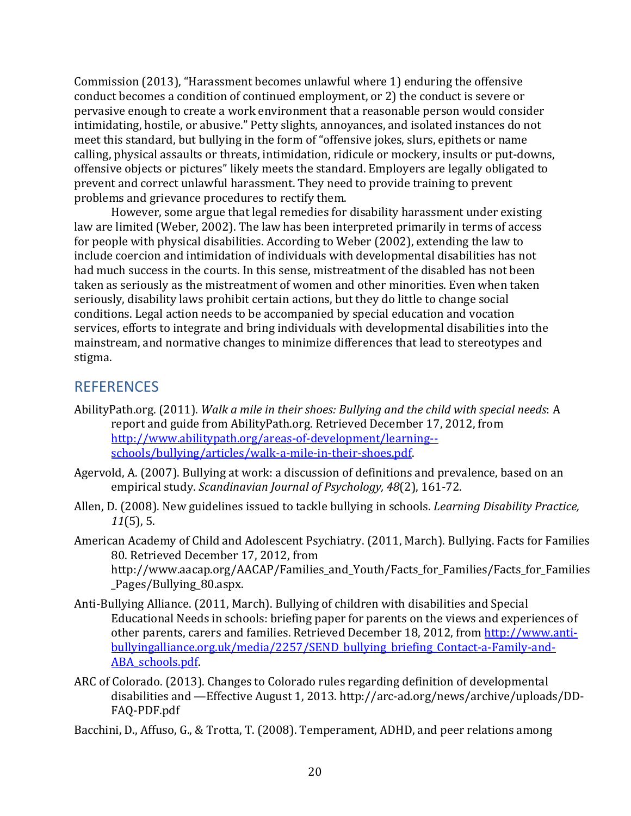Commission (2013), "Harassment becomes unlawful where 1) enduring the offensive conduct becomes a condition of continued employment, or 2) the conduct is severe or pervasive enough to create a work environment that a reasonable person would consider intimidating, hostile, or abusive." Petty slights, annoyances, and isolated instances do not meet this standard, but bullying in the form of "offensive jokes, slurs, epithets or name calling, physical assaults or threats, intimidation, ridicule or mockery, insults or put-downs, offensive objects or pictures" likely meets the standard. Employers are legally obligated to prevent and correct unlawful harassment. They need to provide training to prevent problems and grievance procedures to rectify them.

However, some argue that legal remedies for disability harassment under existing law are limited (Weber, 2002). The law has been interpreted primarily in terms of access for people with physical disabilities. According to Weber (2002), extending the law to include coercion and intimidation of individuals with developmental disabilities has not had much success in the courts. In this sense, mistreatment of the disabled has not been taken as seriously as the mistreatment of women and other minorities. Even when taken seriously, disability laws prohibit certain actions, but they do little to change social conditions. Legal action needs to be accompanied by special education and vocation services, efforts to integrate and bring individuals with developmental disabilities into the mainstream, and normative changes to minimize differences that lead to stereotypes and stigma.

# <span id="page-20-0"></span>**REFERENCES**

- AbilityPath.org. (2011). *Walk a mile in their shoes: Bullying and the child with special needs*: A report and guide from AbilityPath.org. Retrieved December 17, 2012, from [http://www.abilitypath.org/areas-of-development/learning-](http://www.abilitypath.org/areas-of-development/learning--schools/bullying/articles/walk-a-mile-in-their-shoes.pdf) [schools/bullying/articles/walk-a-mile-in-their-shoes.pdf.](http://www.abilitypath.org/areas-of-development/learning--schools/bullying/articles/walk-a-mile-in-their-shoes.pdf)
- Agervold, A. (2007). Bullying at work: a discussion of definitions and prevalence, based on an empirical study. *Scandinavian Journal of Psychology, 48*(2), 161-72.
- Allen, D. (2008). New guidelines issued to tackle bullying in schools. *Learning Disability Practice, 11*(5), 5.
- American Academy of Child and Adolescent Psychiatry. (2011, March). Bullying. Facts for Families 80. Retrieved December 17, 2012, from http://www.aacap.org/AACAP/Families\_and\_Youth/Facts\_for\_Families/Facts\_for\_Families \_Pages/Bullying\_80.aspx.
- Anti-Bullying Alliance. (2011, March). Bullying of children with disabilities and Special Educational Needs in schools: briefing paper for parents on the views and experiences of other parents, carers and families. Retrieved December 18, 2012, from [http://www.anti](http://www.anti-bullyingalliance.org.uk/media/2257/SEND_bullying_briefing_Contact-a-Family-and-ABA_schools.pdf)[bullyingalliance.org.uk/media/2257/SEND\\_bullying\\_briefing\\_Contact-a-Family-and-](http://www.anti-bullyingalliance.org.uk/media/2257/SEND_bullying_briefing_Contact-a-Family-and-ABA_schools.pdf)[ABA\\_schools.pdf.](http://www.anti-bullyingalliance.org.uk/media/2257/SEND_bullying_briefing_Contact-a-Family-and-ABA_schools.pdf)
- ARC of Colorado. (2013). Changes to Colorado rules regarding definition of developmental disabilities and —Effective August 1, 2013. http://arc-ad.org/news/archive/uploads/DD-FAQ-PDF.pdf
- Bacchini, D., Affuso, G., & Trotta, T. (2008). Temperament, ADHD, and peer relations among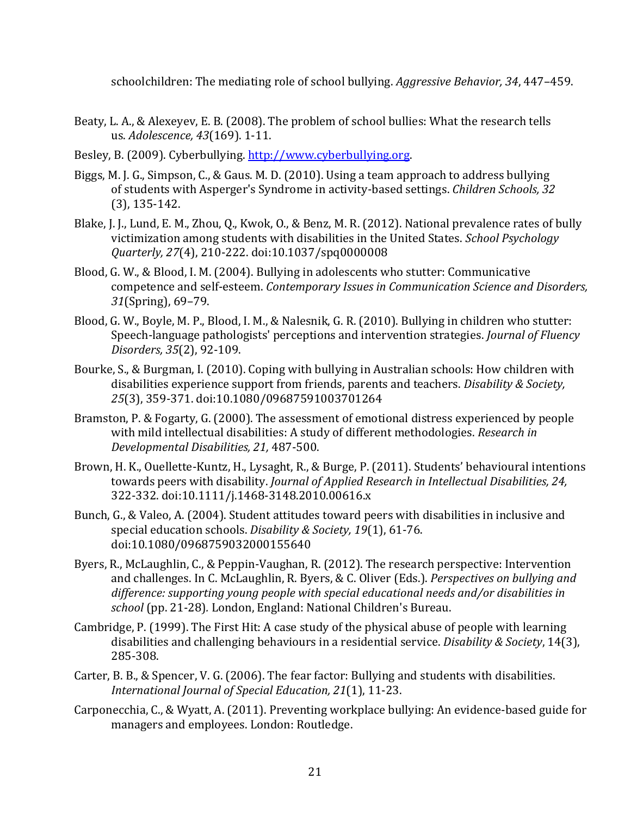schoolchildren: The mediating role of school bullying. *Aggressive Behavior, 34*, 447–459.

- Beaty, L. A., & Alexeyev, E. B. (2008). The problem of school bullies: What the research tells us. *Adolescence, 43*(169). 1-11.
- Besley, B. (2009). Cyberbullying. [http://www.cyberbullying.org.](http://www.cyberbullying.org/)
- Biggs, M. J. G., Simpson, C., & Gaus. M. D. (2010). Using a team approach to address bullying of students with Asperger's Syndrome in activity-based settings. *Children Schools, 32*  (3), 135-142.
- Blake, J. J., Lund, E. M., Zhou, Q., Kwok, O., & Benz, M. R. (2012). National prevalence rates of bully victimization among students with disabilities in the United States. *School Psychology Quarterly, 27*(4), 210-222. doi:10.1037/spq0000008
- Blood, G. W., & Blood, I. M. (2004). Bullying in adolescents who stutter: Communicative competence and self-esteem. *Contemporary Issues in Communication Science and Disorders, 31*(Spring), 69–79.
- Blood, G. W., Boyle, M. P., Blood, I. M., & Nalesnik, G. R. (2010). Bullying in children who stutter: Speech-language pathologists' perceptions and intervention strategies. *Journal of Fluency Disorders, 35*(2), 92-109.
- Bourke, S., & Burgman, I. (2010). Coping with bullying in Australian schools: How children with disabilities experience support from friends, parents and teachers. *Disability & Society, 25*(3), 359-371. doi:10.1080/09687591003701264
- Bramston, P. & Fogarty, G. (2000). The assessment of emotional distress experienced by people with mild intellectual disabilities: A study of different methodologies. *Research in Developmental Disabilities, 21,* 487-500.
- Brown, H. K., Ouellette-Kuntz, H., Lysaght, R., & Burge, P. (2011). Students' behavioural intentions towards peers with disability. *Journal of Applied Research in Intellectual Disabilities, 24,*  322-332. doi:10.1111/j.1468-3148.2010.00616.x
- Bunch, G., & Valeo, A. (2004). Student attitudes toward peers with disabilities in inclusive and special education schools. *Disability & Society, 19*(1), 61-76. doi:10.1080/0968759032000155640
- Byers, R., McLaughlin, C., & Peppin-Vaughan, R. (2012). The research perspective: Intervention and challenges. In C. McLaughlin, R. Byers, & C. Oliver (Eds.). *Perspectives on bullying and difference: supporting young people with special educational needs and/or disabilities in school* (pp. 21-28)*.* London, England: National Children's Bureau.
- Cambridge, P. (1999). The First Hit: A case study of the physical abuse of people with learning disabilities and challenging behaviours in a residential service. *Disability & Society*, 14(3), 285-308.
- Carter, B. B., & Spencer, V. G. (2006). The fear factor: Bullying and students with disabilities. *International Journal of Special Education, 21*(1), 11-23.
- Carponecchia, C., & Wyatt, A. (2011). Preventing workplace bullying: An evidence-based guide for managers and employees. London: Routledge.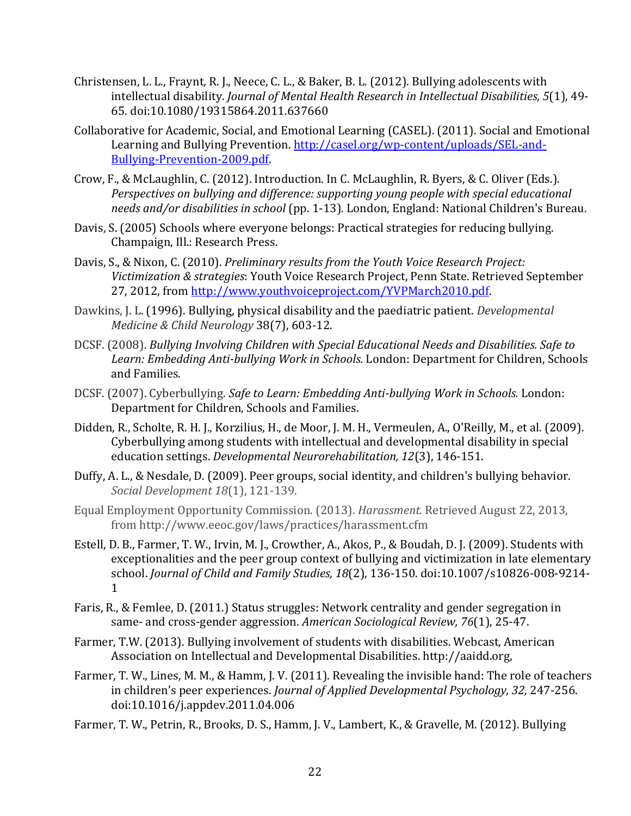- Christensen, L. L., Fraynt, R. J., Neece, C. L., & Baker, B. L. (2012). Bullying adolescents with intellectual disability. *Journal of Mental Health Research in Intellectual Disabilities, 5*(1), 49- 65. doi:10.1080/19315864.2011.637660
- Collaborative for Academic, Social, and Emotional Learning (CASEL). (2011). Social and Emotional Learning and Bullying Prevention. [http://casel.org/wp-content/uploads/SEL-and-](http://casel.org/wp-content/uploads/SEL-and-Bullying-Prevention-2009.pdf)[Bullying-Prevention-2009.pdf.](http://casel.org/wp-content/uploads/SEL-and-Bullying-Prevention-2009.pdf)
- Crow, F., & McLaughlin, C. (2012). Introduction. In C. McLaughlin, R. Byers, & C. Oliver (Eds.). *Perspectives on bullying and difference: supporting young people with special educational needs and/or disabilities in school* (pp. 1-13)*.* London, England: National Children's Bureau.
- Davis, S. (2005) Schools where everyone belongs: Practical strategies for reducing bullying. Champaign, Ill.: Research Press.
- Davis, S., & Nixon, C. (2010). *Preliminary results from the Youth Voice Research Project: Victimization & strategies*: Youth Voice Research Project, Penn State. Retrieved September 27, 2012, fro[m http://www.youthvoiceproject.com/YVPMarch2010.pdf.](http://www.youthvoiceproject.com/YVPMarch2010.pdf)
- Dawkins, J. L. (1996). Bullying, physical disability and the paediatric patient. *Developmental Medicine & Child Neurology* 38(7), 603-12.
- DCSF. (2008). *Bullying Involving Children with Special Educational Needs and Disabilities. Safe to Learn: Embedding Anti-bullying Work in Schools.* London: Department for Children, Schools and Families.
- DCSF. (2007). Cyberbullying. *Safe to Learn: Embedding Anti-bullying Work in Schools.* London: Department for Children, Schools and Families.
- Didden, R., Scholte, R. H. J., Korzilius, H., de Moor, J. M. H., Vermeulen, A., O'Reilly, M., et al. (2009). Cyberbullying among students with intellectual and developmental disability in special education settings. *Developmental Neurorehabilitation, 12*(3), 146-151.
- Duffy, A. L., & Nesdale, D. (2009). Peer groups, social identity, and children's bullying behavior. *Social Development 18*(1), 121-139.
- Equal Employment Opportunity Commission. (2013). *Harassment.* Retrieved August 22, 2013, from http://www.eeoc.gov/laws/practices/harassment.cfm
- Estell, D. B., Farmer, T. W., Irvin, M. J., Crowther, A., Akos, P., & Boudah, D. J. (2009). Students with exceptionalities and the peer group context of bullying and victimization in late elementary school. *Journal of Child and Family Studies, 18*(2), 136-150. doi:10.1007/s10826-008-9214- 1
- Faris, R., & Femlee, D. (2011.) Status struggles: Network centrality and gender segregation in same- and cross-gender aggression. *American Sociological Review, 76*(1), 25-47.
- Farmer, T.W. (2013). Bullying involvement of students with disabilities. Webcast, American Association on Intellectual and Developmental Disabilities. http://aaidd.org,
- Farmer, T. W., Lines, M. M., & Hamm, J. V. (2011). Revealing the invisible hand: The role of teachers in children's peer experiences. *Journal of Applied Developmental Psychology, 32,* 247-256. doi:10.1016/j.appdev.2011.04.006
- Farmer, T. W., Petrin, R., Brooks, D. S., Hamm, J. V., Lambert, K., & Gravelle, M. (2012). Bullying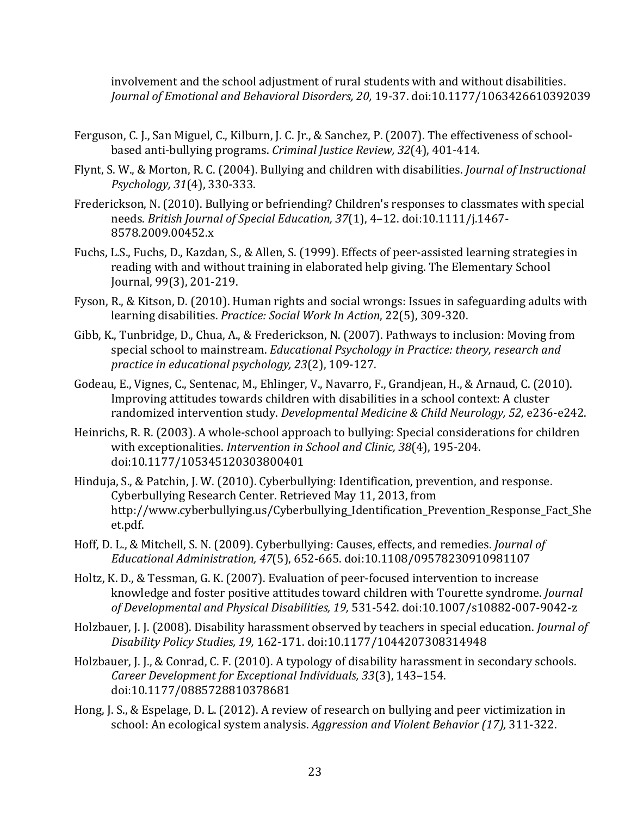involvement and the school adjustment of rural students with and without disabilities. *Journal of Emotional and Behavioral Disorders, 20,* 19-37. doi:10.1177/1063426610392039

- Ferguson, C. J., San Miguel, C., Kilburn, J. C. Jr., & Sanchez, P. (2007). The effectiveness of schoolbased anti-bullying programs. *Criminal Justice Review, 32*(4), 401-414.
- Flynt, S. W., & Morton, R. C. (2004). Bullying and children with disabilities. *Journal of Instructional Psychology, 31*(4), 330-333.
- Frederickson, N. (2010). Bullying or befriending? Children's responses to classmates with special needs. *British Journal of Special Education, 37*(1), 4–12. doi:10.1111/j.1467- 8578.2009.00452.x
- Fuchs, L.S., Fuchs, D., Kazdan, S., & Allen, S. (1999). Effects of peer-assisted learning strategies in reading with and without training in elaborated help giving. The Elementary School Journal, 99(3), 201-219.
- Fyson, R., & Kitson, D. (2010). Human rights and social wrongs: Issues in safeguarding adults with learning disabilities. *Practice: Social Work In Action*, 22(5), 309-320.
- Gibb, K., Tunbridge, D., Chua, A., & Frederickson, N. (2007). Pathways to inclusion: Moving from special school to mainstream. *Educational Psychology in Practice: theory, research and practice in educational psychology, 23*(2), 109-127.
- Godeau, E., Vignes, C., Sentenac, M., Ehlinger, V., Navarro, F., Grandjean, H., & Arnaud, C. (2010). Improving attitudes towards children with disabilities in a school context: A cluster randomized intervention study. *Developmental Medicine & Child Neurology, 52,* e236-e242.
- Heinrichs, R. R. (2003). A whole-school approach to bullying: Special considerations for children with exceptionalities. *Intervention in School and Clinic, 38*(4), 195-204. doi:10.1177/105345120303800401
- Hinduja, S., & Patchin, J. W. (2010). Cyberbullying: Identification, prevention, and response. Cyberbullying Research Center. Retrieved May 11, 2013, from http://www.cyberbullying.us/Cyberbullying\_Identification\_Prevention\_Response\_Fact\_She et.pdf.
- Hoff, D. L., & Mitchell, S. N. (2009). Cyberbullying: Causes, effects, and remedies. *Journal of Educational Administration, 47*(5), 652-665. doi:10.1108/09578230910981107
- Holtz, K. D., & Tessman, G. K. (2007). Evaluation of peer-focused intervention to increase knowledge and foster positive attitudes toward children with Tourette syndrome. *Journal of Developmental and Physical Disabilities, 19,* 531-542. doi:10.1007/s10882-007-9042-z
- Holzbauer, J. J. (2008). Disability harassment observed by teachers in special education. *Journal of Disability Policy Studies, 19,* 162-171. doi:10.1177/1044207308314948
- Holzbauer, J. J., & Conrad, C. F. (2010). A typology of disability harassment in secondary schools. *Career Development for Exceptional Individuals, 33*(3), 143–154. doi:10.1177/0885728810378681
- Hong, J. S., & Espelage, D. L. (2012). A review of research on bullying and peer victimization in school: An ecological system analysis. *Aggression and Violent Behavior (17),* 311-322.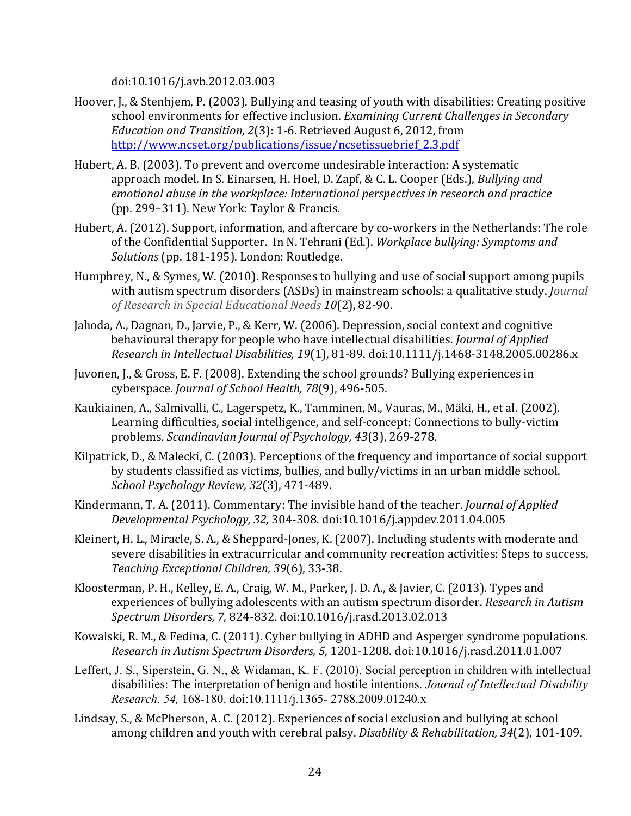doi:10.1016/j.avb.2012.03.003

- Hoover, J., & Stenhjem, P. (2003). Bullying and teasing of youth with disabilities: Creating positive school environments for effective inclusion. *Examining Current Challenges in Secondary Education and Transition*, *2*(3): 1-6. Retrieved August 6, 2012, from [http://www.ncset.org/publications/issue/ncsetissuebrief\\_2.3.pdf](http://www.ncset.org/publications/issue/ncsetissuebrief_2.3.pdf)
- Hubert, A. B. (2003). To prevent and overcome undesirable interaction: A systematic approach model. In S. Einarsen, H. Hoel, D. Zapf, & C. L. Cooper (Eds.), *Bullying and emotional abuse in the workplace: International perspectives in research and practice* (pp. 299–311). New York: Taylor & Francis.
- Hubert, A. (2012). Support, information, and aftercare by co-workers in the Netherlands: The role of the Confidential Supporter. In N. Tehrani (Ed.). *Workplace bullying: Symptoms and Solutions* (pp. 181-195). London: Routledge.
- Humphrey, N., & Symes, W. (2010). Responses to bullying and use of social support among pupils with autism spectrum disorders (ASDs) in mainstream schools: a qualitative study. *Journal of Research in Special Educational Needs 10*(2), 82-90.
- Jahoda, A., Dagnan, D., Jarvie, P., & Kerr, W. (2006). Depression, social context and cognitive behavioural therapy for people who have intellectual disabilities. *Journal of Applied Research in Intellectual Disabilities, 19*(1), 81-89. doi:10.1111/j.1468-3148.2005.00286.x
- Juvonen, J., & Gross, E. F. (2008). Extending the school grounds? Bullying experiences in cyberspace. *Journal of School Health, 78*(9), 496-505.
- Kaukiainen, A., Salmivalli, C., Lagerspetz, K., Tamminen, M., Vauras, M., Mäki, H., et al. (2002). Learning difficulties, social intelligence, and self-concept: Connections to bully-victim problems. *Scandinavian Journal of Psychology, 43*(3), 269-278.
- Kilpatrick, D., & Malecki, C. (2003). Perceptions of the frequency and importance of social support by students classified as victims, bullies, and bully/victims in an urban middle school. *School Psychology Review, 32*(3), 471-489.
- Kindermann, T. A. (2011). Commentary: The invisible hand of the teacher. *Journal of Applied Developmental Psychology, 32,* 304-308. doi:10.1016/j.appdev.2011.04.005
- Kleinert, H. L., Miracle, S. A., & Sheppard-Jones, K. (2007). Including students with moderate and severe disabilities in extracurricular and community recreation activities: Steps to success. *Teaching Exceptional Children, 39*(6), 33-38.
- Kloosterman, P. H., Kelley, E. A., Craig, W. M., Parker, J. D. A., & Javier, C. (2013). Types and experiences of bullying adolescents with an autism spectrum disorder. *Research in Autism Spectrum Disorders, 7,* 824-832. doi:10.1016/j.rasd.2013.02.013
- Kowalski, R. M., & Fedina, C. (2011). Cyber bullying in ADHD and Asperger syndrome populations. *Research in Autism Spectrum Disorders, 5,* 1201-1208. doi:10.1016/j.rasd.2011.01.007
- Leffert, J. S., Siperstein, G. N., & Widaman, K. F. (2010). Social perception in children with intellectual disabilities: The interpretation of benign and hostile intentions. *Journal of Intellectual Disability Research, 54,* 168-180. doi:10.1111/j.1365- 2788.2009.01240.x
- Lindsay, S., & McPherson, A. C. (2012). Experiences of social exclusion and bullying at school among children and youth with cerebral palsy. *Disability & Rehabilitation, 34*(2), 101-109.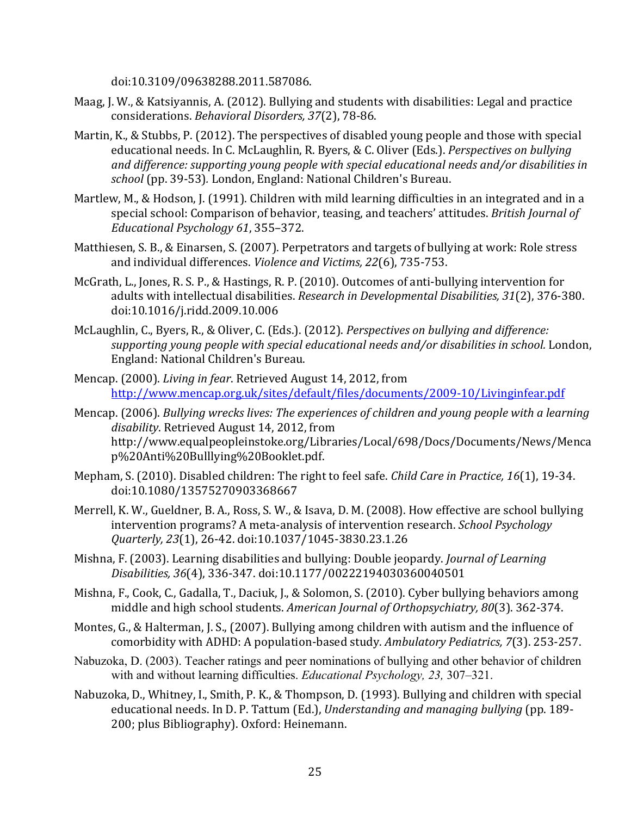doi:10.3109/09638288.2011.587086.

- Maag, J. W., & Katsiyannis, A. (2012). Bullying and students with disabilities: Legal and practice considerations. *Behavioral Disorders, 37*(2), 78-86.
- Martin, K., & Stubbs, P. (2012). The perspectives of disabled young people and those with special educational needs. In C. McLaughlin, R. Byers, & C. Oliver (Eds.). *Perspectives on bullying and difference: supporting young people with special educational needs and/or disabilities in school* (pp. 39-53)*.* London, England: National Children's Bureau.
- Martlew, M., & Hodson, J. (1991). Children with mild learning difficulties in an integrated and in a special school: Comparison of behavior, teasing, and teachers' attitudes. *British Journal of Educational Psychology 61*, 355–372.
- Matthiesen, S. B., & Einarsen, S. (2007). Perpetrators and targets of bullying at work: Role stress and individual differences. *Violence and Victims, 22*(6), 735-753.
- McGrath, L., Jones, R. S. P., & Hastings, R. P. (2010). Outcomes of anti-bullying intervention for adults with intellectual disabilities. *Research in Developmental Disabilities, 31*(2), 376-380. doi:10.1016/j.ridd.2009.10.006
- McLaughlin, C., Byers, R., & Oliver, C. (Eds.). (2012). *Perspectives on bullying and difference: supporting young people with special educational needs and/or disabilities in school.* London, England: National Children's Bureau.
- Mencap. (2000). *Living in fear*. Retrieved August 14, 2012, from <http://www.mencap.org.uk/sites/default/files/documents/2009-10/Livinginfear.pdf>
- Mencap. (2006). *Bullying wrecks lives: The experiences of children and young people with a learning disability*. Retrieved August 14, 2012, from http://www.equalpeopleinstoke.org/Libraries/Local/698/Docs/Documents/News/Menca p%20Anti%20Bulllying%20Booklet.pdf.
- Mepham, S. (2010). Disabled children: The right to feel safe. *Child Care in Practice, 16*(1), 19-34. doi:10.1080/13575270903368667
- Merrell, K. W., Gueldner, B. A., Ross, S. W., & Isava, D. M. (2008). How effective are school bullying intervention programs? A meta-analysis of intervention research. *School Psychology Quarterly, 23*(1), 26-42. doi:10.1037/1045-3830.23.1.26
- Mishna, F. (2003). Learning disabilities and bullying: Double jeopardy. *Journal of Learning Disabilities, 36*(4), 336-347. doi:10.1177/00222194030360040501
- Mishna, F., Cook, C., Gadalla, T., Daciuk, J., & Solomon, S. (2010). Cyber bullying behaviors among middle and high school students. *American Journal of Orthopsychiatry, 80*(3). 362-374.
- Montes, G., & Halterman, J. S., (2007). Bullying among children with autism and the influence of comorbidity with ADHD: A population-based study. *Ambulatory Pediatrics, 7*(3). 253-257.
- Nabuzoka, D. (2003). Teacher ratings and peer nominations of bullying and other behavior of children with and without learning difficulties. *Educational Psychology, 23,* 307–321.
- Nabuzoka, D., Whitney, I., Smith, P. K., & Thompson, D. (1993). Bullying and children with special educational needs. In D. P. Tattum (Ed.), *Understanding and managing bullying* (pp. 189- 200; plus Bibliography). Oxford: Heinemann.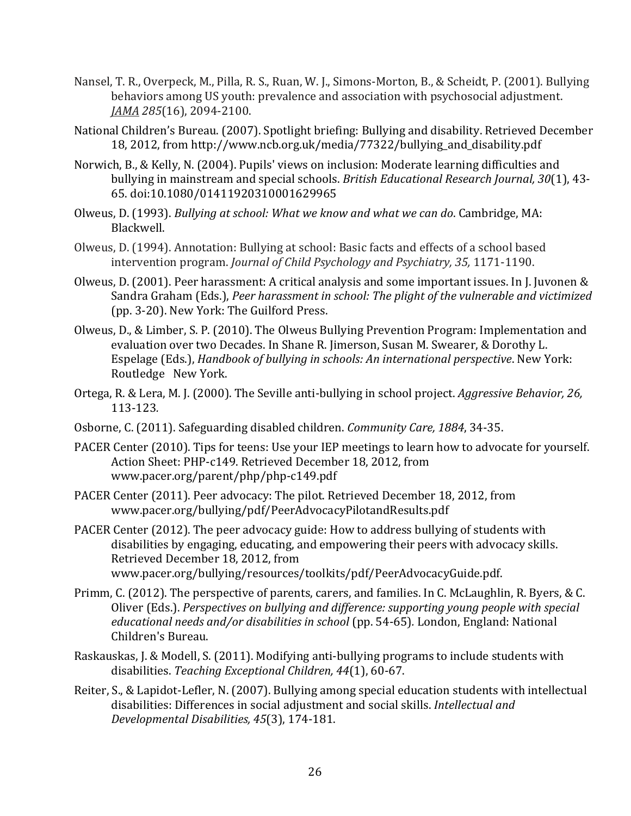- Nansel, T. R., Overpeck, M., Pilla, R. S., Ruan, W. J., Simons-Morton, B., & Scheidt, P. (2001). Bullying behaviors among US youth: prevalence and association with psychosocial adjustment. *JAMA 285*(16), 2094-2100.
- National Children's Bureau. (2007). Spotlight briefing: Bullying and disability. Retrieved December 18, 2012, from http://www.ncb.org.uk/media/77322/bullying\_and\_disability.pdf
- Norwich, B., & Kelly, N. (2004). Pupils' views on inclusion: Moderate learning difficulties and bullying in mainstream and special schools. *British Educational Research Journal, 30*(1), 43- 65. doi:10.1080/01411920310001629965
- Olweus, D. (1993). *Bullying at school: What we know and what we can do*. Cambridge, MA: Blackwell.
- Olweus, D. (1994). Annotation: Bullying at school: Basic facts and effects of a school based intervention program. *Journal of Child Psychology and Psychiatry, 35,* 1171-1190.
- Olweus, D. (2001). Peer harassment: A critical analysis and some important issues. In J. Juvonen & Sandra Graham (Eds.), *Peer harassment in school: The plight of the vulnerable and victimized*  (pp. 3-20). New York: The Guilford Press.
- Olweus, D., & Limber, S. P. (2010). The Olweus Bullying Prevention Program: Implementation and evaluation over two Decades. In Shane R. Jimerson, Susan M. Swearer, & Dorothy L. Espelage (Eds.), *Handbook of bullying in schools: An international perspective*. New York: Routledge New York.
- Ortega, R. & Lera, M. J. (2000). The Seville anti-bullying in school project. *Aggressive Behavior, 26,*  113-123*.*
- Osborne, C. (2011). Safeguarding disabled children. *Community Care, 1884*, 34-35.
- PACER Center (2010). Tips for teens: Use your IEP meetings to learn how to advocate for yourself. Action Sheet: PHP-c149. Retrieved December 18, 2012, from www.pacer.org/parent/php/php-c149.pdf
- PACER Center (2011). Peer advocacy: The pilot. Retrieved December 18, 2012, from www.pacer.org/bullying/pdf/PeerAdvocacyPilotandResults.pdf
- PACER Center (2012). The peer advocacy guide: How to address bullying of students with disabilities by engaging, educating, and empowering their peers with advocacy skills. Retrieved December 18, 2012, from www.pacer.org/bullying/resources/toolkits/pdf/PeerAdvocacyGuide.pdf.
- Primm, C. (2012). The perspective of parents, carers, and families. In C. McLaughlin, R. Byers, & C. Oliver (Eds.). *Perspectives on bullying and difference: supporting young people with special educational needs and/or disabilities in school* (pp. 54-65)*.* London, England: National Children's Bureau.
- Raskauskas, J. & Modell, S. (2011). Modifying anti-bullying programs to include students with disabilities. *Teaching Exceptional Children, 44*(1), 60-67.
- Reiter, S., & Lapidot-Lefler, N. (2007). Bullying among special education students with intellectual disabilities: Differences in social adjustment and social skills. *Intellectual and Developmental Disabilities, 45*(3), 174-181.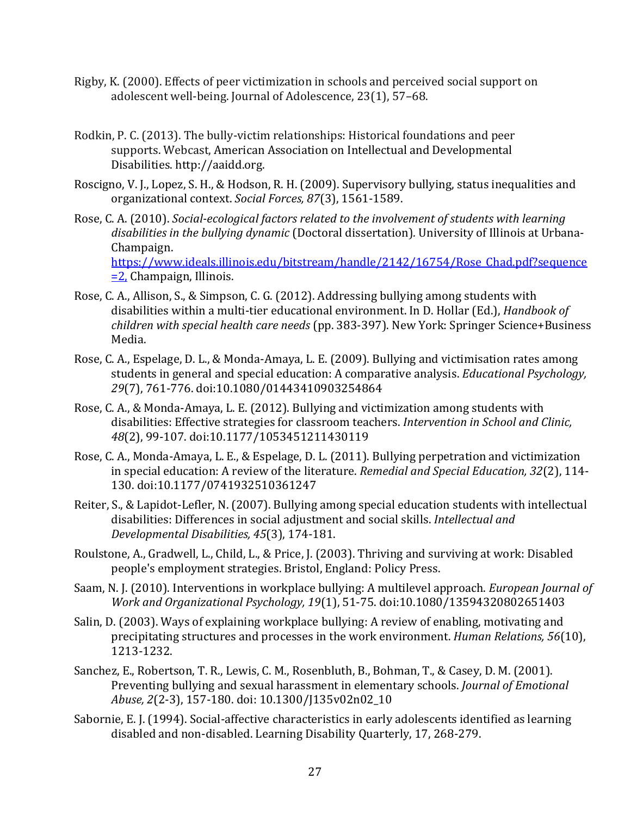- Rigby, K. (2000). Effects of peer victimization in schools and perceived social support on adolescent well-being. Journal of Adolescence, 23(1), 57–68.
- Rodkin, P. C. (2013). The bully-victim relationships: Historical foundations and peer supports. Webcast, American Association on Intellectual and Developmental Disabilities. http://aaidd.org.
- Roscigno, V. J., Lopez, S. H., & Hodson, R. H. (2009). Supervisory bullying, status inequalities and organizational context. *Social Forces, 87*(3), 1561-1589.
- Rose, C. A. (2010). *Social-ecological factors related to the involvement of students with learning disabilities in the bullying dynamic* (Doctoral dissertation)*.* University of Illinois at Urbana-Champaign. [https://www.ideals.illinois.edu/bitstream/handle/2142/16754/Rose\\_Chad.pdf?sequence](https://www.ideals.illinois.edu/bitstream/handle/2142/16754/Rose_Chad.pdf?sequence=2,) [=2,](https://www.ideals.illinois.edu/bitstream/handle/2142/16754/Rose_Chad.pdf?sequence=2,) Champaign, Illinois.
- Rose, C. A., Allison, S., & Simpson, C. G. (2012). Addressing bullying among students with disabilities within a multi-tier educational environment. In D. Hollar (Ed.), *Handbook of children with special health care needs* (pp. 383-397). New York: Springer Science+Business Media.
- Rose, C. A., Espelage, D. L., & Monda-Amaya, L. E. (2009). Bullying and victimisation rates among students in general and special education: A comparative analysis. *Educational Psychology, 29*(7), 761-776. doi:10.1080/01443410903254864
- Rose, C. A., & Monda-Amaya, L. E. (2012). Bullying and victimization among students with disabilities: Effective strategies for classroom teachers. *Intervention in School and Clinic, 48*(2), 99-107. doi:10.1177/1053451211430119
- Rose, C. A., Monda-Amaya, L. E., & Espelage, D. L. (2011). Bullying perpetration and victimization in special education: A review of the literature. *Remedial and Special Education, 32*(2), 114- 130. doi:10.1177/0741932510361247
- Reiter, S., & Lapidot-Lefler, N. (2007). Bullying among special education students with intellectual disabilities: Differences in social adjustment and social skills. *Intellectual and Developmental Disabilities, 45*(3), 174-181.
- Roulstone, A., Gradwell, L., Child, L., & Price, J. (2003). Thriving and surviving at work: Disabled people's employment strategies. Bristol, England: Policy Press.
- Saam, N. J. (2010). Interventions in workplace bullying: A multilevel approach. *European Journal of Work and Organizational Psychology, 19*(1), 51-75. doi:10.1080/13594320802651403
- Salin, D. (2003). Ways of explaining workplace bullying: A review of enabling, motivating and precipitating structures and processes in the work environment. *Human Relations, 56*(10), 1213-1232.
- Sanchez, E., Robertson, T. R., Lewis, C. M., Rosenbluth, B., Bohman, T., & Casey, D. M. (2001). Preventing bullying and sexual harassment in elementary schools. *Journal of Emotional Abuse, 2*(2-3), 157-180. doi: 10.1300/J135v02n02\_10
- Sabornie, E. J. (1994). Social-affective characteristics in early adolescents identified as learning disabled and non-disabled. Learning Disability Quarterly, 17, 268-279.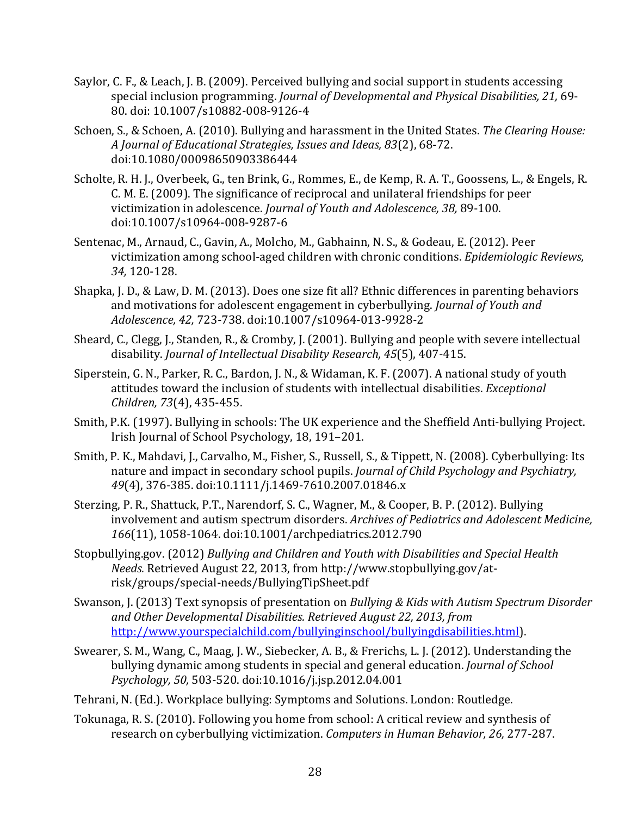- Saylor, C. F., & Leach, J. B. (2009). Perceived bullying and social support in students accessing special inclusion programming. *Journal of Developmental and Physical Disabilities, 21,* 69- 80. doi: 10.1007/s10882-008-9126-4
- Schoen, S., & Schoen, A. (2010). Bullying and harassment in the United States. *The Clearing House: A Journal of Educational Strategies, Issues and Ideas, 83*(2), 68-72. doi:10.1080/00098650903386444
- Scholte, R. H. J., Overbeek, G., ten Brink, G., Rommes, E., de Kemp, R. A. T., Goossens, L., & Engels, R. C. M. E. (2009). The significance of reciprocal and unilateral friendships for peer victimization in adolescence. *Journal of Youth and Adolescence, 38,* 89-100. doi:10.1007/s10964-008-9287-6
- Sentenac, M., Arnaud, C., Gavin, A., Molcho, M., Gabhainn, N. S., & Godeau, E. (2012). Peer victimization among school-aged children with chronic conditions. *Epidemiologic Reviews, 34,* 120-128.
- Shapka, J. D., & Law, D. M. (2013). Does one size fit all? Ethnic differences in parenting behaviors and motivations for adolescent engagement in cyberbullying. *Journal of Youth and Adolescence, 42,* 723-738. doi:10.1007/s10964-013-9928-2
- Sheard, C., Clegg, J., Standen, R., & Cromby, J. (2001). Bullying and people with severe intellectual disability. *Journal of Intellectual Disability Research, 45*(5), 407-415.
- Siperstein, G. N., Parker, R. C., Bardon, J. N., & Widaman, K. F. (2007). A national study of youth attitudes toward the inclusion of students with intellectual disabilities. *Exceptional Children, 73*(4), 435-455.
- Smith, P.K. (1997). Bullying in schools: The UK experience and the Sheffield Anti-bullying Project. Irish Journal of School Psychology, 18, 191–201.
- Smith, P. K., Mahdavi, J., Carvalho, M., Fisher, S., Russell, S., & Tippett, N. (2008). Cyberbullying: Its nature and impact in secondary school pupils. *Journal of Child Psychology and Psychiatry, 49*(4), 376-385. doi:10.1111/j.1469-7610.2007.01846.x
- Sterzing, P. R., Shattuck, P.T., Narendorf, S. C., Wagner, M., & Cooper, B. P. (2012). Bullying involvement and autism spectrum disorders. *Archives of Pediatrics and Adolescent Medicine, 166*(11), 1058-1064. doi:10.1001/archpediatrics.2012.790
- Stopbullying.gov. (2012) *Bullying and Children and Youth with Disabilities and Special Health Needs.* Retrieved August 22, 2013, from http://www.stopbullying.gov/atrisk/groups/special-needs/BullyingTipSheet.pdf
- Swanson, J. (2013) Text synopsis of presentation on *Bullying & Kids with Autism Spectrum Disorder and Other Developmental Disabilities. Retrieved August 22, 2013, from*  [http://www.yourspecialchild.com/bullyinginschool/bullyingdisabilities.html\)](http://www.yourspecialchild.com/bullyinginschool/bullyingdisabilities.html).
- Swearer, S. M., Wang, C., Maag, J. W., Siebecker, A. B., & Frerichs, L. J. (2012). Understanding the bullying dynamic among students in special and general education. *Journal of School Psychology, 50,* 503-520. doi:10.1016/j.jsp.2012.04.001
- Tehrani, N. (Ed.). Workplace bullying: Symptoms and Solutions. London: Routledge.
- Tokunaga, R. S. (2010). Following you home from school: A critical review and synthesis of research on cyberbullying victimization. *Computers in Human Behavior, 26,* 277-287.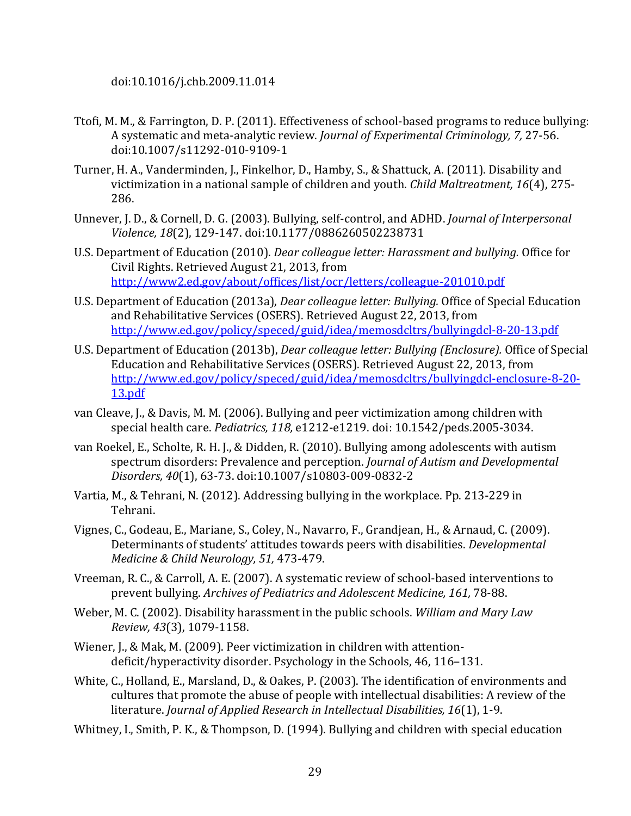doi:10.1016/j.chb.2009.11.014

- Ttofi, M. M., & Farrington, D. P. (2011). Effectiveness of school-based programs to reduce bullying: A systematic and meta-analytic review. *Journal of Experimental Criminology, 7,* 27-56. doi:10.1007/s11292-010-9109-1
- Turner, H. A., Vanderminden, J., Finkelhor, D., Hamby, S., & Shattuck, A. (2011). Disability and victimization in a national sample of children and youth. *Child Maltreatment, 16*(4), 275- 286.
- Unnever, J. D., & Cornell, D. G. (2003). Bullying, self-control, and ADHD. *Journal of Interpersonal Violence, 18*(2), 129-147. doi:10.1177/0886260502238731
- U.S. Department of Education (2010). *Dear colleague letter: Harassment and bullying.* Office for Civil Rights. Retrieved August 21, 2013, from <http://www2.ed.gov/about/offices/list/ocr/letters/colleague-201010.pdf>
- U.S. Department of Education (2013a), *Dear colleague letter: Bullying.* Office of Special Education and Rehabilitative Services (OSERS). Retrieved August 22, 2013, from <http://www.ed.gov/policy/speced/guid/idea/memosdcltrs/bullyingdcl-8-20-13.pdf>
- U.S. Department of Education (2013b), *Dear colleague letter: Bullying (Enclosure).* Office of Special Education and Rehabilitative Services (OSERS). Retrieved August 22, 2013, from [http://www.ed.gov/policy/speced/guid/idea/memosdcltrs/bullyingdcl-enclosure-8-20-](http://www.ed.gov/policy/speced/guid/idea/memosdcltrs/bullyingdcl-enclosure-8-20-13.pdf) [13.pdf](http://www.ed.gov/policy/speced/guid/idea/memosdcltrs/bullyingdcl-enclosure-8-20-13.pdf)
- van Cleave, J., & Davis, M. M. (2006). Bullying and peer victimization among children with special health care. *Pediatrics, 118,* e1212-e1219. doi: 10.1542/peds.2005-3034.
- van Roekel, E., Scholte, R. H. J., & Didden, R. (2010). Bullying among adolescents with autism spectrum disorders: Prevalence and perception. *Journal of Autism and Developmental Disorders, 40*(1), 63-73. doi:10.1007/s10803-009-0832-2
- Vartia, M., & Tehrani, N. (2012). Addressing bullying in the workplace. Pp. 213-229 in Tehrani.
- Vignes, C., Godeau, E., Mariane, S., Coley, N., Navarro, F., Grandjean, H., & Arnaud, C. (2009). Determinants of students' attitudes towards peers with disabilities. *Developmental Medicine & Child Neurology, 51,* 473-479.
- Vreeman, R. C., & Carroll, A. E. (2007). A systematic review of school-based interventions to prevent bullying. *Archives of Pediatrics and Adolescent Medicine, 161,* 78-88.
- Weber, M. C. (2002). Disability harassment in the public schools. *William and Mary Law Review, 43*(3), 1079-1158.
- Wiener, J., & Mak, M. (2009). Peer victimization in children with attentiondeficit/hyperactivity disorder. Psychology in the Schools, 46, 116–131.
- White, C., Holland, E., Marsland, D., & Oakes, P. (2003). The identification of environments and cultures that promote the abuse of people with intellectual disabilities: A review of the literature. *Journal of Applied Research in Intellectual Disabilities, 16*(1), 1-9.
- Whitney, I., Smith, P. K., & Thompson, D. (1994). Bullying and children with special education